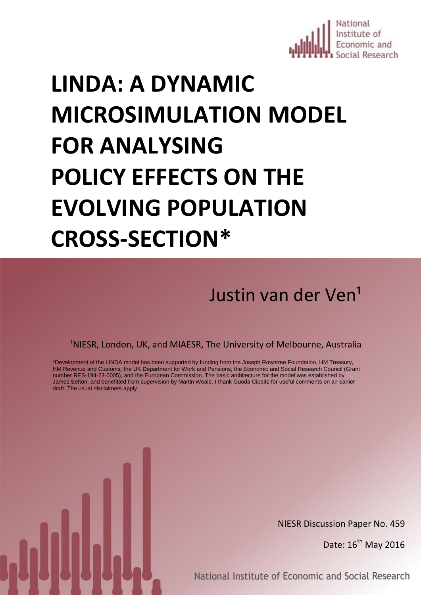

# **LINDA: A DYNAMIC MICROSIMULATION MODEL FOR ANALYSING POLICY EFFECTS ON THE EVOLVING POPULATION CROSS-SECTION\***

Justin van der Ven<sup>1</sup>

<sup>1</sup>NIESR, London, UK, and MIAESR, The University of Melbourne, Australia

\*Development of the LINDA model has been supported by funding from the Joseph Rowntree Foundation, HM Treasury, HM Revenue and Customs, the UK Department for Work and Pensions, the Economic and Social Research Council (Grant number RES-194-23-0005), and the European Commission. The basic architecture for the model was established by James Sefton, and benefitted from supervision by Martin Weale. I thank Guoda Cibaite for useful comments on an earlier draft. The usual disclaimers apply.

National Institute of Economic and Social Research

NIESR Discussion Paper No. 459

Date:  $16^{th}$  May 2016

National Institute of Economic and Social Research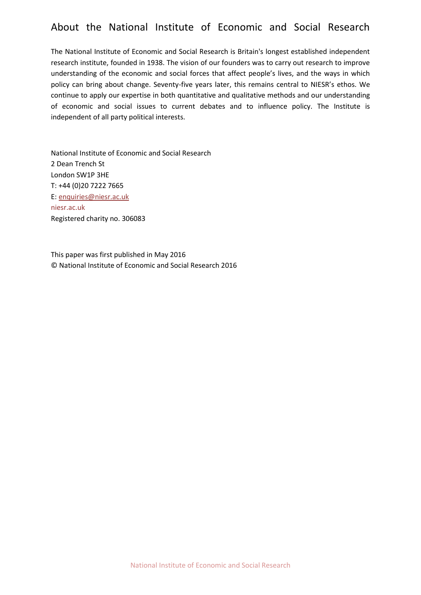## About the National Institute of Economic and Social Research

The National Institute of Economic and Social Research is Britain's longest established independent research institute, founded in 1938. The vision of our founders was to carry out research to improve understanding of the economic and social forces that affect people's lives, and the ways in which policy can bring about change. Seventy-five years later, this remains central to NIESR's ethos. We continue to apply our expertise in both quantitative and qualitative methods and our understanding of economic and social issues to current debates and to influence policy. The Institute is independent of all party political interests.

National Institute of Economic and Social Research 2 Dean Trench St London SW1P 3HE T: +44 (0)20 7222 7665 E: [enquiries@niesr.ac.uk](mailto:enquiries@niesr.ac.uk) niesr.ac.uk Registered charity no. 306083

This paper was first published in May 2016 © National Institute of Economic and Social Research 2016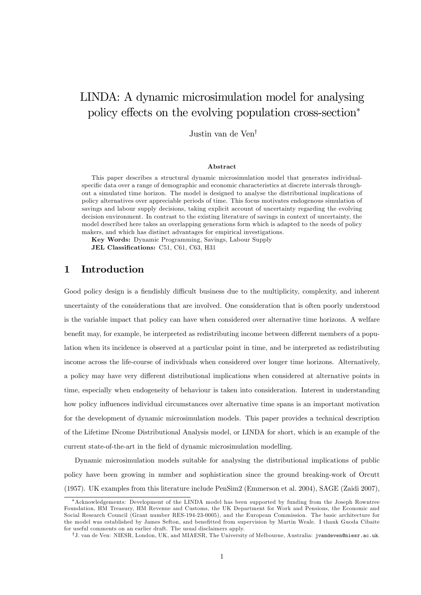## LINDA: A dynamic microsimulation model for analysing policy effects on the evolving population cross-section<sup>\*</sup>

Justin van de Ven<sup>†</sup>

#### Abstract

This paper describes a structural dynamic microsimulation model that generates individualspecific data over a range of demographic and economic characteristics at discrete intervals throughout a simulated time horizon. The model is designed to analyse the distributional implications of policy alternatives over appreciable periods of time. This focus motivates endogenous simulation of savings and labour supply decisions, taking explicit account of uncertainty regarding the evolving decision environment. In contrast to the existing literature of savings in context of uncertainty, the model described here takes an overlapping generations form which is adapted to the needs of policy makers, and which has distinct advantages for empirical investigations.

Key Words: Dynamic Programming, Savings, Labour Supply JEL Classifications: C51, C61, C63, H31

1 Introduction

Good policy design is a fiendishly difficult business due to the multiplicity, complexity, and inherent uncertainty of the considerations that are involved. One consideration that is often poorly understood is the variable impact that policy can have when considered over alternative time horizons. A welfare benefit may, for example, be interpreted as redistributing income between different members of a population when its incidence is observed at a particular point in time, and be interpreted as redistributing income across the life-course of individuals when considered over longer time horizons. Alternatively, a policy may have very different distributional implications when considered at alternative points in time, especially when endogeneity of behaviour is taken into consideration. Interest in understanding how policy influences individual circumstances over alternative time spans is an important motivation for the development of dynamic microsimulation models. This paper provides a technical description of the Lifetime INcome Distributional Analysis model, or LINDA for short, which is an example of the current state-of-the-art in the field of dynamic microsimulation modelling.

Dynamic microsimulation models suitable for analysing the distributional implications of public policy have been growing in number and sophistication since the ground breaking-work of Orcutt (1957). UK examples from this literature include PenSim2 (Emmerson et al. 2004), SAGE (Zaidi 2007),

Acknowledgements: Development of the LINDA model has been supported by funding from the Joseph Rowntree Foundation, HM Treasury, HM Revenue and Customs, the UK Department for Work and Pensions, the Economic and Social Research Council (Grant number RES-194-23-0005), and the European Commission. The basic architecture for the model was established by James Sefton, and benefitted from supervision by Martin Weale. I thank Guoda Cibaite for useful comments on an earlier draft. The usual disclaimers apply.

<sup>&</sup>lt;sup>†</sup>J. van de Ven: NIESR, London, UK, and MIAESR, The University of Melbourne, Australia: jvandeven@niesr.ac.uk.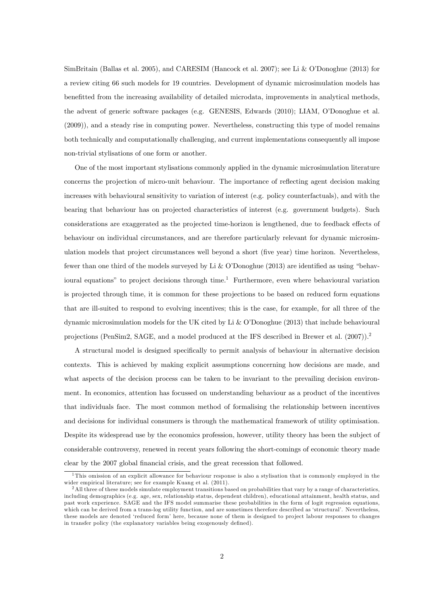SimBritain (Ballas et al. 2005), and CARESIM (Hancock et al. 2007); see Li & O'Donoghue (2013) for a review citing 66 such models for 19 countries. Development of dynamic microsimulation models has benefitted from the increasing availability of detailed microdata, improvements in analytical methods, the advent of generic software packages (e.g. GENESIS, Edwards (2010); LIAM, OíDonoghue et al. (2009)), and a steady rise in computing power. Nevertheless, constructing this type of model remains both technically and computationally challenging, and current implementations consequently all impose non-trivial stylisations of one form or another.

One of the most important stylisations commonly applied in the dynamic microsimulation literature concerns the projection of micro-unit behaviour. The importance of reflecting agent decision making increases with behavioural sensitivity to variation of interest (e.g. policy counterfactuals), and with the bearing that behaviour has on projected characteristics of interest (e.g. government budgets). Such considerations are exaggerated as the projected time-horizon is lengthened, due to feedback effects of behaviour on individual circumstances, and are therefore particularly relevant for dynamic microsimulation models that project circumstances well beyond a short (five year) time horizon. Nevertheless, fewer than one third of the models surveyed by Li & O'Donoghue (2013) are identified as using "behavioural equations" to project decisions through time.<sup>1</sup> Furthermore, even where behavioural variation is projected through time, it is common for these projections to be based on reduced form equations that are ill-suited to respond to evolving incentives; this is the case, for example, for all three of the dynamic microsimulation models for the UK cited by Li & O'Donoghue (2013) that include behavioural projections (PenSim2, SAGE, and a model produced at the IFS described in Brewer et al. (2007)).<sup>2</sup>

A structural model is designed speciÖcally to permit analysis of behaviour in alternative decision contexts. This is achieved by making explicit assumptions concerning how decisions are made, and what aspects of the decision process can be taken to be invariant to the prevailing decision environment. In economics, attention has focussed on understanding behaviour as a product of the incentives that individuals face. The most common method of formalising the relationship between incentives and decisions for individual consumers is through the mathematical framework of utility optimisation. Despite its widespread use by the economics profession, however, utility theory has been the subject of considerable controversy, renewed in recent years following the short-comings of economic theory made clear by the 2007 global financial crisis, and the great recession that followed.

 $1$ This omission of an explicit allowance for behaviour response is also a stylisation that is commonly employed in the wider empirical literature; see for example Kuang et al. (2011).

<sup>&</sup>lt;sup>2</sup>All three of these models simulate employment transitions based on probabilities that vary by a range of characteristics, including demographics (e.g. age, sex, relationship status, dependent children), educational attainment, health status, and past work experience. SAGE and the IFS model summarise these probabilities in the form of logit regression equations, which can be derived from a trans-log utility function, and are sometimes therefore described as 'structural'. Nevertheless, these models are denoted 'reduced form' here, because none of them is designed to project labour responses to changes in transfer policy (the explanatory variables being exogenously defined).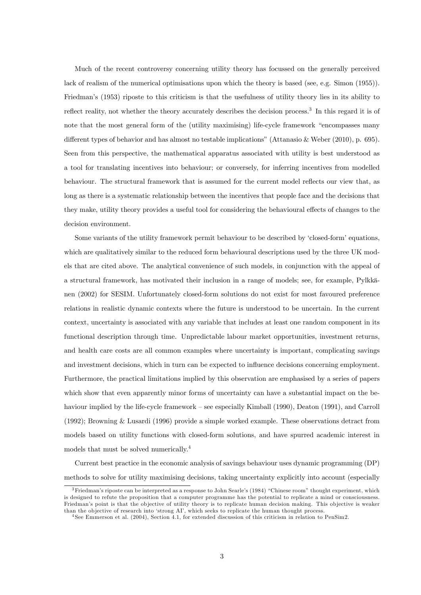Much of the recent controversy concerning utility theory has focussed on the generally perceived lack of realism of the numerical optimisations upon which the theory is based (see, e.g. Simon (1955)). Friedmanís (1953) riposte to this criticism is that the usefulness of utility theory lies in its ability to reflect reality, not whether the theory accurately describes the decision process.<sup>3</sup> In this regard it is of note that the most general form of the (utility maximising) life-cycle framework "encompasses many different types of behavior and has almost no testable implications" (Attanasio & Weber  $(2010)$ , p. 695). Seen from this perspective, the mathematical apparatus associated with utility is best understood as a tool for translating incentives into behaviour; or conversely, for inferring incentives from modelled behaviour. The structural framework that is assumed for the current model reflects our view that, as long as there is a systematic relationship between the incentives that people face and the decisions that they make, utility theory provides a useful tool for considering the behavioural effects of changes to the decision environment.

Some variants of the utility framework permit behaviour to be described by 'closed-form' equations, which are qualitatively similar to the reduced form behavioural descriptions used by the three UK models that are cited above. The analytical convenience of such models, in conjunction with the appeal of a structural framework, has motivated their inclusion in a range of models; see, for example, Pylkk‰ nen (2002) for SESIM. Unfortunately closed-form solutions do not exist for most favoured preference relations in realistic dynamic contexts where the future is understood to be uncertain. In the current context, uncertainty is associated with any variable that includes at least one random component in its functional description through time. Unpredictable labour market opportunities, investment returns, and health care costs are all common examples where uncertainty is important, complicating savings and investment decisions, which in turn can be expected to influence decisions concerning employment. Furthermore, the practical limitations implied by this observation are emphasised by a series of papers which show that even apparently minor forms of uncertainty can have a substantial impact on the behaviour implied by the life-cycle framework – see especially Kimball (1990), Deaton (1991), and Carroll (1992); Browning & Lusardi (1996) provide a simple worked example. These observations detract from models based on utility functions with closed-form solutions, and have spurred academic interest in models that must be solved numerically.<sup>4</sup>

Current best practice in the economic analysis of savings behaviour uses dynamic programming (DP) methods to solve for utility maximising decisions, taking uncertainty explicitly into account (especially

 $3$ Friedman's riposte can be interpreted as a response to John Searle's (1984) "Chinese room" thought experiment, which is designed to refute the proposition that a computer programme has the potential to replicate a mind or consciousness. Friedman's point is that the objective of utility theory is to replicate human decision making. This objective is weaker than the objective of research into 'strong AI', which seeks to replicate the human thought process.

<sup>4</sup> See Emmerson et al. (2004), Section 4.1, for extended discussion of this criticism in relation to PenSim2.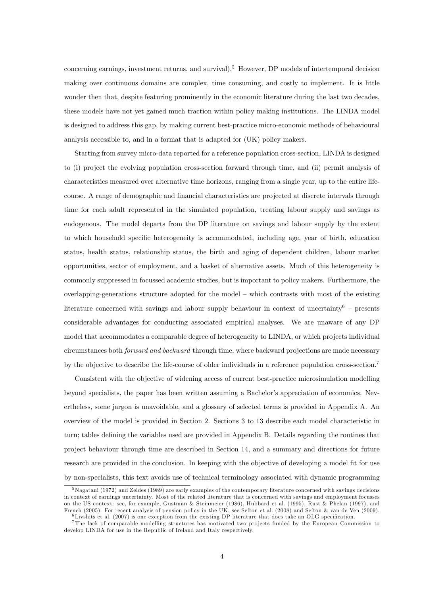concerning earnings, investment returns, and survival).<sup>5</sup> However, DP models of intertemporal decision making over continuous domains are complex, time consuming, and costly to implement. It is little wonder then that, despite featuring prominently in the economic literature during the last two decades, these models have not yet gained much traction within policy making institutions. The LINDA model is designed to address this gap, by making current best-practice micro-economic methods of behavioural analysis accessible to, and in a format that is adapted for (UK) policy makers.

Starting from survey micro-data reported for a reference population cross-section, LINDA is designed to (i) project the evolving population cross-section forward through time, and (ii) permit analysis of characteristics measured over alternative time horizons, ranging from a single year, up to the entire lifecourse. A range of demographic and financial characteristics are projected at discrete intervals through time for each adult represented in the simulated population, treating labour supply and savings as endogenous. The model departs from the DP literature on savings and labour supply by the extent to which household specific heterogeneity is accommodated, including age, year of birth, education status, health status, relationship status, the birth and aging of dependent children, labour market opportunities, sector of employment, and a basket of alternative assets. Much of this heterogeneity is commonly suppressed in focussed academic studies, but is important to policy makers. Furthermore, the overlapping-generations structure adopted for the model  $-$  which contrasts with most of the existing literature concerned with savings and labour supply behaviour in context of uncertainty<sup>6</sup> – presents considerable advantages for conducting associated empirical analyses. We are unaware of any DP model that accommodates a comparable degree of heterogeneity to LINDA, or which projects individual circumstances both forward and backward through time, where backward projections are made necessary by the objective to describe the life-course of older individuals in a reference population cross-section.<sup>7</sup>

Consistent with the objective of widening access of current best-practice microsimulation modelling beyond specialists, the paper has been written assuming a Bachelor's appreciation of economics. Nevertheless, some jargon is unavoidable, and a glossary of selected terms is provided in Appendix A. An overview of the model is provided in Section 2. Sections 3 to 13 describe each model characteristic in turn; tables defining the variables used are provided in Appendix B. Details regarding the routines that project behaviour through time are described in Section 14, and a summary and directions for future research are provided in the conclusion. In keeping with the objective of developing a model fit for use by non-specialists, this text avoids use of technical terminology associated with dynamic programming

<sup>5</sup>Nagatani (1972) and Zeldes (1989) are early examples of the contemporary literature concerned with savings decisions in context of earnings uncertainty. Most of the related literature that is concerned with savings and employment focusses on the US context: see, for example, Gustman & Steinmeier (1986), Hubbard et al. (1995), Rust & Phelan (1997), and French (2005). For recent analysis of pension policy in the UK, see Sefton et al. (2008) and Sefton & van de Ven (2009).  $6$ Livshits et al. (2007) is one exception from the existing DP literature that does take an OLG specification.

<sup>&</sup>lt;sup>7</sup>The lack of comparable modelling structures has motivated two projects funded by the European Commission to develop LINDA for use in the Republic of Ireland and Italy respectively.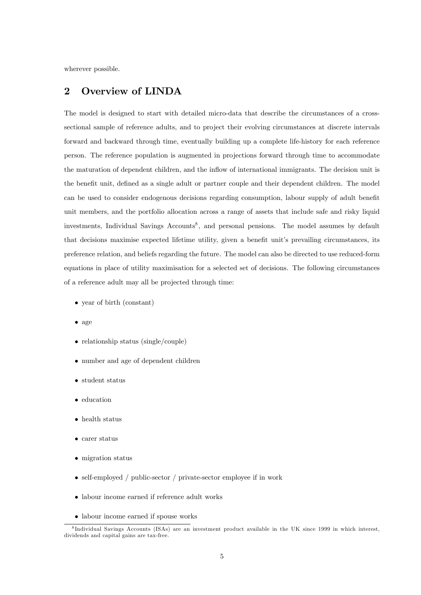wherever possible.

## 2 Overview of LINDA

The model is designed to start with detailed micro-data that describe the circumstances of a crosssectional sample of reference adults, and to project their evolving circumstances at discrete intervals forward and backward through time, eventually building up a complete life-history for each reference person. The reference population is augmented in projections forward through time to accommodate the maturation of dependent children, and the ináow of international immigrants. The decision unit is the benefit unit, defined as a single adult or partner couple and their dependent children. The model can be used to consider endogenous decisions regarding consumption, labour supply of adult benefit unit members, and the portfolio allocation across a range of assets that include safe and risky liquid investments, Individual Savings Accounts<sup>8</sup>, and personal pensions. The model assumes by default that decisions maximise expected lifetime utility, given a benefit unit's prevailing circumstances, its preference relation, and beliefs regarding the future. The model can also be directed to use reduced-form equations in place of utility maximisation for a selected set of decisions. The following circumstances of a reference adult may all be projected through time:

- year of birth (constant)
- $\bullet$  age
- relationship status (single/couple)
- number and age of dependent children
- student status
- education
- health status
- carer status
- migration status
- self-employed / public-sector / private-sector employee if in work
- labour income earned if reference adult works
- labour income earned if spouse works

<sup>8</sup> Individual Savings Accounts (ISAs) are an investment product available in the UK since 1999 in which interest, dividends and capital gains are tax-free.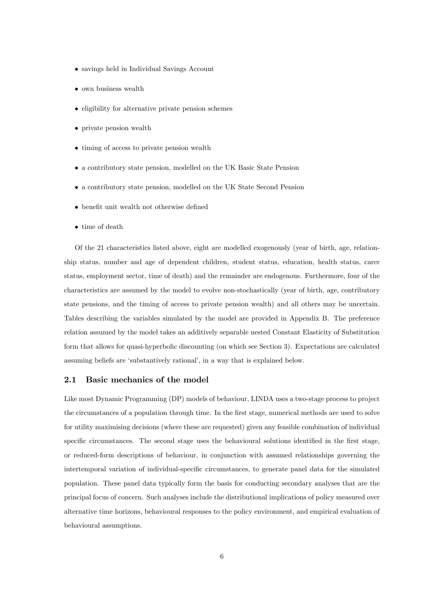- savings held in Individual Savings Account
- own business wealth
- $\bullet$  eligibility for alternative private pension schemes
- private pension wealth
- timing of access to private pension wealth
- a contributory state pension, modelled on the UK Basic State Pension
- a contributory state pension, modelled on the UK State Second Pension
- $\bullet\,$  benefit unit wealth not otherwise defined
- time of death

Of the 21 characteristics listed above, eight are modelled exogenously (year of birth, age, relationship status, number and age of dependent children, student status, education, health status, carer status, employment sector, time of death) and the remainder are endogenous. Furthermore, four of the characteristics are assumed by the model to evolve non-stochastically (year of birth, age, contributory state pensions, and the timing of access to private pension wealth) and all others may be uncertain. Tables describing the variables simulated by the model are provided in Appendix B. The preference relation assumed by the model takes an additively separable nested Constant Elasticity of Substitution form that allows for quasi-hyperbolic discounting (on which see Section 3). Expectations are calculated assuming beliefs are 'substantively rational', in a way that is explained below.

#### 2.1 Basic mechanics of the model

Like most Dynamic Programming (DP) models of behaviour, LINDA uses a two-stage process to project the circumstances of a population through time. In the first stage, numerical methods are used to solve for utility maximising decisions (where these are requested) given any feasible combination of individual specific circumstances. The second stage uses the behavioural solutions identified in the first stage, or reduced-form descriptions of behaviour, in conjunction with assumed relationships governing the intertemporal variation of individual-specific circumstances, to generate panel data for the simulated population. These panel data typically form the basis for conducting secondary analyses that are the principal focus of concern. Such analyses include the distributional implications of policy measured over alternative time horizons, behavioural responses to the policy environment, and empirical evaluation of behavioural assumptions.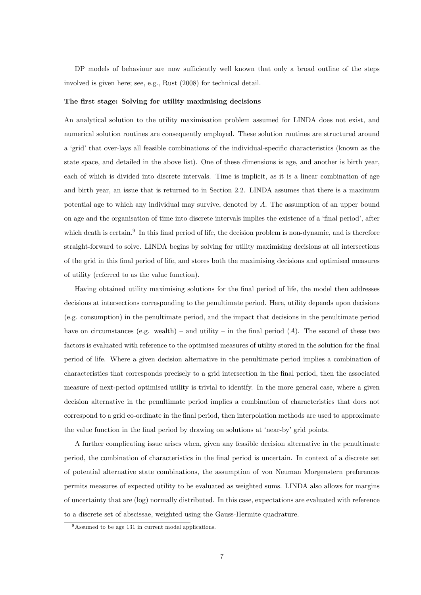DP models of behaviour are now sufficiently well known that only a broad outline of the steps involved is given here; see, e.g., Rust (2008) for technical detail.

#### The first stage: Solving for utility maximising decisions

An analytical solution to the utility maximisation problem assumed for LINDA does not exist, and numerical solution routines are consequently employed. These solution routines are structured around a 'grid' that over-lays all feasible combinations of the individual-specific characteristics (known as the state space, and detailed in the above list). One of these dimensions is age, and another is birth year, each of which is divided into discrete intervals. Time is implicit, as it is a linear combination of age and birth year, an issue that is returned to in Section 2.2. LINDA assumes that there is a maximum potential age to which any individual may survive, denoted by A. The assumption of an upper bound on age and the organisation of time into discrete intervals implies the existence of a 'final period', after which death is certain.<sup>9</sup> In this final period of life, the decision problem is non-dynamic, and is therefore straight-forward to solve. LINDA begins by solving for utility maximising decisions at all intersections of the grid in this Önal period of life, and stores both the maximising decisions and optimised measures of utility (referred to as the value function).

Having obtained utility maximising solutions for the final period of life, the model then addresses decisions at intersections corresponding to the penultimate period. Here, utility depends upon decisions (e.g. consumption) in the penultimate period, and the impact that decisions in the penultimate period have on circumstances (e.g. wealth) – and utility – in the final period (A). The second of these two factors is evaluated with reference to the optimised measures of utility stored in the solution for the final period of life. Where a given decision alternative in the penultimate period implies a combination of characteristics that corresponds precisely to a grid intersection in the Önal period, then the associated measure of next-period optimised utility is trivial to identify. In the more general case, where a given decision alternative in the penultimate period implies a combination of characteristics that does not correspond to a grid co-ordinate in the final period, then interpolation methods are used to approximate the value function in the final period by drawing on solutions at 'near-by' grid points.

A further complicating issue arises when, given any feasible decision alternative in the penultimate period, the combination of characteristics in the Önal period is uncertain. In context of a discrete set of potential alternative state combinations, the assumption of von Neuman Morgenstern preferences permits measures of expected utility to be evaluated as weighted sums. LINDA also allows for margins of uncertainty that are (log) normally distributed. In this case, expectations are evaluated with reference to a discrete set of abscissae, weighted using the Gauss-Hermite quadrature.

<sup>&</sup>lt;sup>9</sup>Assumed to be age 131 in current model applications.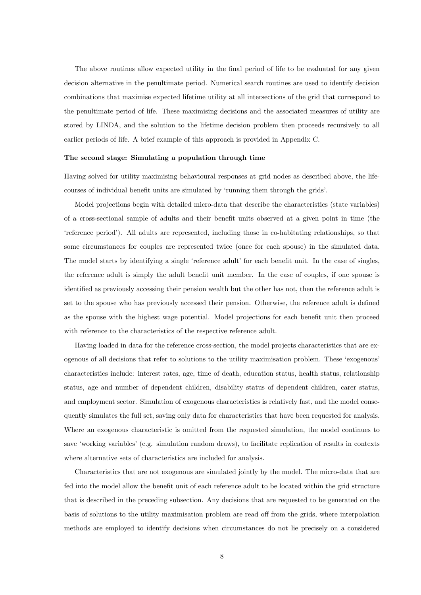The above routines allow expected utility in the final period of life to be evaluated for any given decision alternative in the penultimate period. Numerical search routines are used to identify decision combinations that maximise expected lifetime utility at all intersections of the grid that correspond to the penultimate period of life. These maximising decisions and the associated measures of utility are stored by LINDA, and the solution to the lifetime decision problem then proceeds recursively to all earlier periods of life. A brief example of this approach is provided in Appendix C.

#### The second stage: Simulating a population through time

Having solved for utility maximising behavioural responses at grid nodes as described above, the lifecourses of individual benefit units are simulated by 'running them through the grids'.

Model projections begin with detailed micro-data that describe the characteristics (state variables) of a cross-sectional sample of adults and their benefit units observed at a given point in time (the ëreference periodí). All adults are represented, including those in co-habitating relationships, so that some circumstances for couples are represented twice (once for each spouse) in the simulated data. The model starts by identifying a single 'reference adult' for each benefit unit. In the case of singles, the reference adult is simply the adult benefit unit member. In the case of couples, if one spouse is identified as previously accessing their pension wealth but the other has not, then the reference adult is set to the spouse who has previously accessed their pension. Otherwise, the reference adult is defined as the spouse with the highest wage potential. Model projections for each benefit unit then proceed with reference to the characteristics of the respective reference adult.

Having loaded in data for the reference cross-section, the model projects characteristics that are exogenous of all decisions that refer to solutions to the utility maximisation problem. These ëexogenousí characteristics include: interest rates, age, time of death, education status, health status, relationship status, age and number of dependent children, disability status of dependent children, carer status, and employment sector. Simulation of exogenous characteristics is relatively fast, and the model consequently simulates the full set, saving only data for characteristics that have been requested for analysis. Where an exogenous characteristic is omitted from the requested simulation, the model continues to save 'working variables' (e.g. simulation random draws), to facilitate replication of results in contexts where alternative sets of characteristics are included for analysis.

Characteristics that are not exogenous are simulated jointly by the model. The micro-data that are fed into the model allow the benefit unit of each reference adult to be located within the grid structure that is described in the preceding subsection. Any decisions that are requested to be generated on the basis of solutions to the utility maximisation problem are read off from the grids, where interpolation methods are employed to identify decisions when circumstances do not lie precisely on a considered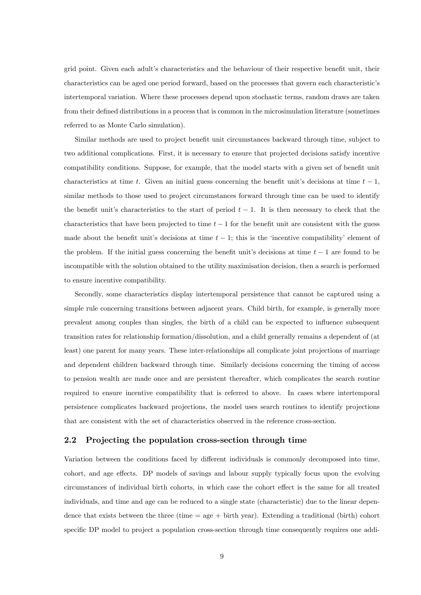grid point. Given each adult's characteristics and the behaviour of their respective benefit unit, their characteristics can be aged one period forward, based on the processes that govern each characteristicís intertemporal variation. Where these processes depend upon stochastic terms, random draws are taken from their defined distributions in a process that is common in the microsimulation literature (sometimes referred to as Monte Carlo simulation).

Similar methods are used to project benefit unit circumstances backward through time, subject to two additional complications. First, it is necessary to ensure that projected decisions satisfy incentive compatibility conditions. Suppose, for example, that the model starts with a given set of benefit unit characteristics at time t. Given an initial guess concerning the benefit unit's decisions at time  $t - 1$ , similar methods to those used to project circumstances forward through time can be used to identify the benefit unit's characteristics to the start of period  $t - 1$ . It is then necessary to check that the characteristics that have been projected to time  $t - 1$  for the benefit unit are consistent with the guess made about the benefit unit's decisions at time  $t - 1$ ; this is the 'incentive compatibility' element of the problem. If the initial guess concerning the benefit unit's decisions at time  $t - 1$  are found to be incompatible with the solution obtained to the utility maximisation decision, then a search is performed to ensure incentive compatibility.

Secondly, some characteristics display intertemporal persistence that cannot be captured using a simple rule concerning transitions between adjacent years. Child birth, for example, is generally more prevalent among couples than singles, the birth of a child can be expected to influence subsequent transition rates for relationship formation/dissolution, and a child generally remains a dependent of (at least) one parent for many years. These inter-relationships all complicate joint projections of marriage and dependent children backward through time. Similarly decisions concerning the timing of access to pension wealth are made once and are persistent thereafter, which complicates the search routine required to ensure incentive compatibility that is referred to above. In cases where intertemporal persistence complicates backward projections, the model uses search routines to identify projections that are consistent with the set of characteristics observed in the reference cross-section.

#### 2.2 Projecting the population cross-section through time

Variation between the conditions faced by different individuals is commonly decomposed into time, cohort, and age effects. DP models of savings and labour supply typically focus upon the evolving circumstances of individual birth cohorts, in which case the cohort effect is the same for all treated individuals, and time and age can be reduced to a single state (characteristic) due to the linear dependence that exists between the three (time  $=$  age  $+$  birth year). Extending a traditional (birth) cohort specific DP model to project a population cross-section through time consequently requires one addi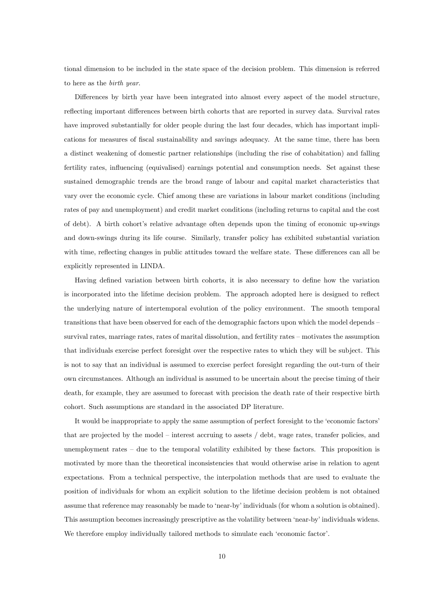tional dimension to be included in the state space of the decision problem. This dimension is referred to here as the birth year.

Differences by birth year have been integrated into almost every aspect of the model structure, reflecting important differences between birth cohorts that are reported in survey data. Survival rates have improved substantially for older people during the last four decades, which has important implications for measures of fiscal sustainability and savings adequacy. At the same time, there has been a distinct weakening of domestic partner relationships (including the rise of cohabitation) and falling fertility rates, influencing (equivalised) earnings potential and consumption needs. Set against these sustained demographic trends are the broad range of labour and capital market characteristics that vary over the economic cycle. Chief among these are variations in labour market conditions (including rates of pay and unemployment) and credit market conditions (including returns to capital and the cost of debt). A birth cohort's relative advantage often depends upon the timing of economic up-swings and down-swings during its life course. Similarly, transfer policy has exhibited substantial variation with time, reflecting changes in public attitudes toward the welfare state. These differences can all be explicitly represented in LINDA.

Having defined variation between birth cohorts, it is also necessary to define how the variation is incorporated into the lifetime decision problem. The approach adopted here is designed to reflect the underlying nature of intertemporal evolution of the policy environment. The smooth temporal transitions that have been observed for each of the demographic factors upon which the model depends – survival rates, marriage rates, rates of marital dissolution, and fertility rates – motivates the assumption that individuals exercise perfect foresight over the respective rates to which they will be subject. This is not to say that an individual is assumed to exercise perfect foresight regarding the out-turn of their own circumstances. Although an individual is assumed to be uncertain about the precise timing of their death, for example, they are assumed to forecast with precision the death rate of their respective birth cohort. Such assumptions are standard in the associated DP literature.

It would be inappropriate to apply the same assumption of perfect foresight to the 'economic factors' that are projected by the model – interest accruing to assets  $/$  debt, wage rates, transfer policies, and unemployment rates  $\overline{\phantom{a}}$  due to the temporal volatility exhibited by these factors. This proposition is motivated by more than the theoretical inconsistencies that would otherwise arise in relation to agent expectations. From a technical perspective, the interpolation methods that are used to evaluate the position of individuals for whom an explicit solution to the lifetime decision problem is not obtained assume that reference may reasonably be made to 'near-by' individuals (for whom a solution is obtained). This assumption becomes increasingly prescriptive as the volatility between 'near-by' individuals widens. We therefore employ individually tailored methods to simulate each 'economic factor'.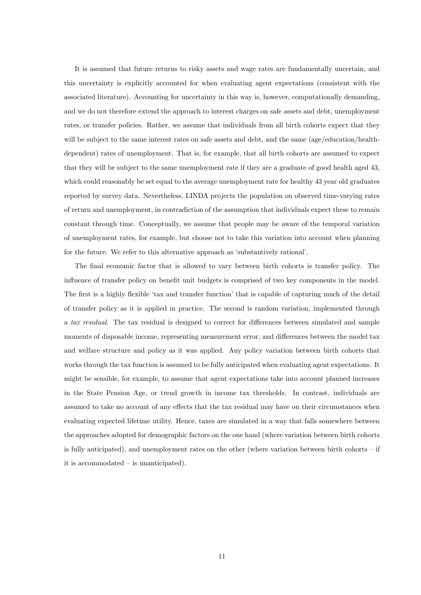It is assumed that future returns to risky assets and wage rates are fundamentally uncertain, and this uncertainty is explicitly accounted for when evaluating agent expectations (consistent with the associated literature). Accounting for uncertainty in this way is, however, computationally demanding, and we do not therefore extend the approach to interest charges on safe assets and debt, unemployment rates, or transfer policies. Rather, we assume that individuals from all birth cohorts expect that they will be subject to the same interest rates on safe assets and debt, and the same (age/education/healthdependent) rates of unemployment. That is, for example, that all birth cohorts are assumed to expect that they will be subject to the same unemployment rate if they are a graduate of good health aged 43, which could reasonably be set equal to the average unemployment rate for healthy 43 year old graduates reported by survey data. Nevertheless, LINDA projects the population on observed time-varying rates of return and unemployment, in contradiction of the assumption that individuals expect these to remain constant through time. Conceptually, we assume that people may be aware of the temporal variation of unemployment rates, for example, but choose not to take this variation into account when planning for the future. We refer to this alternative approach as 'substantively rational'.

The final economic factor that is allowed to vary between birth cohorts is transfer policy. The influence of transfer policy on benefit unit budgets is comprised of two key components in the model. The first is a highly flexible 'tax and transfer function' that is capable of capturing much of the detail of transfer policy as it is applied in practice. The second is random variation, implemented through a tax residual. The tax residual is designed to correct for differences between simulated and sample moments of disposable income, representing measurement error, and differences between the model tax and welfare structure and policy as it was applied. Any policy variation between birth cohorts that works through the tax function is assumed to be fully anticipated when evaluating agent expectations. It might be sensible, for example, to assume that agent expectations take into account planned increases in the State Pension Age, or trend growth in income tax thresholds. In contrast, individuals are assumed to take no account of any effects that the tax residual may have on their circumstances when evaluating expected lifetime utility. Hence, taxes are simulated in a way that falls somewhere between the approaches adopted for demographic factors on the one hand (where variation between birth cohorts is fully anticipated), and unemployment rates on the other (where variation between birth cohorts  $-$  if it is accommodated  $\overline{\phantom{a}}$  is unanticipated).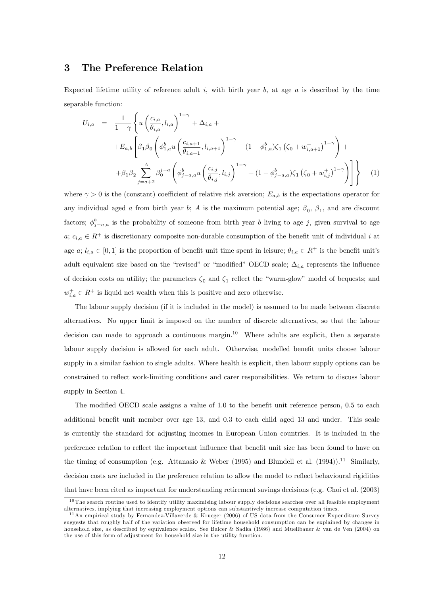### 3 The Preference Relation

Expected lifetime utility of reference adult i, with birth year b, at age  $a$  is described by the time separable function:

$$
U_{i,a} = \frac{1}{1-\gamma} \left\{ u \left( \frac{c_{i,a}}{\theta_{i,a}}, l_{i,a} \right)^{1-\gamma} + \Delta_{i,a} + \right.+ E_{a,b} \left[ \beta_1 \beta_0 \left( \phi_{1,a}^b u \left( \frac{c_{i,a+1}}{\theta_{i,a+1}}, l_{i,a+1} \right)^{1-\gamma} + (1-\phi_{1,a}^b) \zeta_1 \left( \zeta_0 + w_{i,a+1}^+ \right)^{1-\gamma} \right) + \right.+ \beta_1 \beta_2 \sum_{j=a+2}^A \beta_0^{j-a} \left( \phi_{j-a,a}^b u \left( \frac{c_{i,j}}{\theta_{i,j}}, l_{i,j} \right)^{1-\gamma} + (1-\phi_{j-a,a}^b) \zeta_1 \left( \zeta_0 + w_{i,j}^+ \right)^{1-\gamma} \right) \right\}
$$
(1)

where  $\gamma > 0$  is the (constant) coefficient of relative risk aversion;  $E_{a,b}$  is the expectations operator for any individual aged a from birth year b; A is the maximum potential age;  $\beta_0$ ,  $\beta_1$ , and are discount factors;  $\phi_{j-a,a}^{b}$  is the probability of someone from birth year b living to age j, given survival to age  $a; c_{i,a} \in \mathbb{R}^+$  is discretionary composite non-durable consumption of the benefit unit of individual i at age a;  $l_{i,a} \in [0,1]$  is the proportion of benefit unit time spent in leisure;  $\theta_{i,a} \in R^+$  is the benefit unit's adult equivalent size based on the "revised" or "modified" OECD scale;  $\Delta_{i,a}$  represents the influence of decision costs on utility; the parameters  $\zeta_0$  and  $\zeta_1$  reflect the "warm-glow" model of bequests; and  $w_{i,a}^+ \in R^+$  is liquid net wealth when this is positive and zero otherwise.

The labour supply decision (if it is included in the model) is assumed to be made between discrete alternatives. No upper limit is imposed on the number of discrete alternatives, so that the labour decision can made to approach a continuous margin.<sup>10</sup> Where adults are explicit, then a separate labour supply decision is allowed for each adult. Otherwise, modelled benefit units choose labour supply in a similar fashion to single adults. Where health is explicit, then labour supply options can be constrained to reflect work-limiting conditions and carer responsibilities. We return to discuss labour supply in Section 4.

The modified OECD scale assigns a value of 1.0 to the benefit unit reference person,  $0.5$  to each additional benefit unit member over age 13, and 0.3 to each child aged 13 and under. This scale is currently the standard for adjusting incomes in European Union countries. It is included in the preference relation to reflect the important influence that benefit unit size has been found to have on the timing of consumption (e.g. Attanasio & Weber (1995) and Blundell et al. (1994)).<sup>11</sup> Similarly, decision costs are included in the preference relation to allow the model to reflect behavioural rigidities that have been cited as important for understanding retirement savings decisions (e.g. Choi et al. (2003)

<sup>&</sup>lt;sup>10</sup> The search routine used to identify utility maximising labour supply decisions searches over all feasible employment alternatives, implying that increasing employment options can substantively increase computation times.

<sup>11</sup>An empirical study by Fernandez-Villaverde & Krueger (2006) of US data from the Consumer Expenditure Survey suggests that roughly half of the variation observed for lifetime household consumption can be explained by changes in household size, as described by equivalence scales. See Balcer & Sadka (1986) and Muellbauer & van de Ven (2004) on the use of this form of adjustment for household size in the utility function.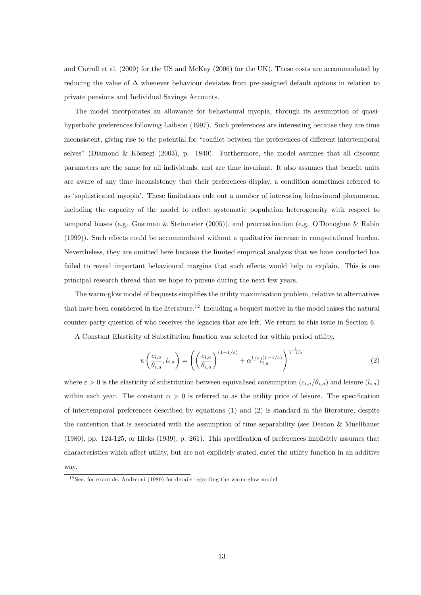and Carroll et al. (2009) for the US and McKay (2006) for the UK). These costs are accommodated by reducing the value of  $\Delta$  whenever behaviour deviates from pre-assigned default options in relation to private pensions and Individual Savings Accounts.

The model incorporates an allowance for behavioural myopia, through its assumption of quasihyperbolic preferences following Laibson (1997). Such preferences are interesting because they are time inconsistent, giving rise to the potential for "conflict between the preferences of different intertemporal selves" (Diamond & Köszegi (2003), p. 1840). Furthermore, the model assumes that all discount parameters are the same for all individuals, and are time invariant. It also assumes that benefit units are aware of any time inconsistency that their preferences display, a condition sometimes referred to as ësophisticated myopiaí. These limitations rule out a number of interesting behavioural phenomena, including the capacity of the model to reflect systematic population heterogeneity with respect to temporal biases (e.g. Gustman & Steinmeier (2005)), and procrastination (e.g. OíDonoghue & Rabin (1999)). Such effects could be accommodated without a qualitative increase in computational burden. Nevertheless, they are omitted here because the limited empirical analysis that we have conducted has failed to reveal important behavioural margins that such effects would help to explain. This is one principal research thread that we hope to pursue during the next few years.

The warm-glow model of bequests simplifies the utility maximisation problem, relative to alternatives that have been considered in the literature.<sup>12</sup> Including a bequest motive in the model raises the natural counter-party question of who receives the legacies that are left. We return to this issue in Section 6.

A Constant Elasticity of Substitution function was selected for within period utility,

$$
u\left(\frac{c_{i,a}}{\theta_{i,a}}, l_{i,a}\right) = \left(\left(\frac{c_{i,a}}{\theta_{i,a}}\right)^{(1-1/\varepsilon)} + \alpha^{1/\varepsilon} l_{i,a}^{(1-1/\varepsilon)}\right)^{\frac{1}{1-1/\varepsilon}}
$$
(2)

where  $\varepsilon > 0$  is the elasticity of substitution between equivalised consumption  $(c_{i,a}/\theta_{i,a})$  and leisure  $(l_{i,a})$ within each year. The constant  $\alpha > 0$  is referred to as the utility price of leisure. The specification of intertemporal preferences described by equations (1) and (2) is standard in the literature, despite the contention that is associated with the assumption of time separability (see Deaton & Muellbauer (1980), pp. 124-125, or Hicks (1939), p. 261). This speciÖcation of preferences implicitly assumes that characteristics which affect utility, but are not explicitly stated, enter the utility function in an additive way.

 $12$  See, for example, Andreoni (1989) for details regarding the warm-glow model.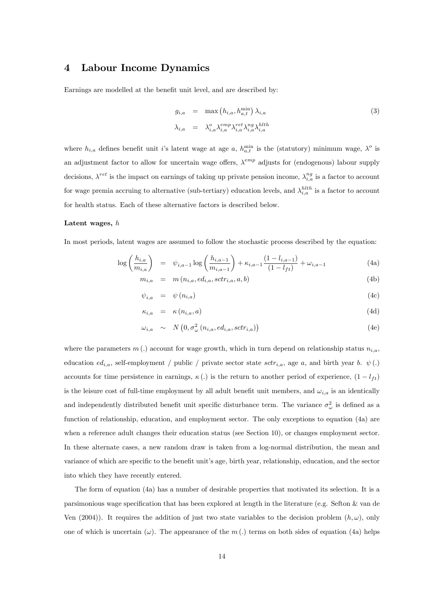## 4 Labour Income Dynamics

Earnings are modelled at the benefit unit level, and are described by:

$$
g_{i,a} = \max (h_{i,a}, h_{a,t}^{\min}) \lambda_{i,a}
$$
  
\n
$$
\lambda_{i,a} = \lambda_{i,a}^o \lambda_{i,a}^{emp} \lambda_{i,a}^{ret} \lambda_{i,a}^{ngh} \lambda_{i,a}^{hlth}
$$
\n(3)

where  $h_{i,a}$  defines benefit unit i's latent wage at age a,  $h_{a,t}^{\min}$  is the (statutory) minimum wage,  $\lambda^o$  is an adjustment factor to allow for uncertain wage offers,  $\lambda^{emp}$  adjusts for (endogenous) labour supply decisions,  $\lambda^{ret}$  is the impact on earnings of taking up private pension income,  $\lambda^{ng}_{i,a}$  is a factor to account for wage premia accruing to alternative (sub-tertiary) education levels, and  $\lambda_{i,a}^{hlth}$  is a factor to account for health status. Each of these alternative factors is described below.

#### Latent wages, h

In most periods, latent wages are assumed to follow the stochastic process described by the equation:

$$
\log\left(\frac{h_{i,a}}{m_{i,a}}\right) = \psi_{i,a-1} \log\left(\frac{h_{i,a-1}}{m_{i,a-1}}\right) + \kappa_{i,a-1} \frac{(1 - l_{i,a-1})}{(1 - l_{ft})} + \omega_{i,a-1}
$$
(4a)

$$
m_{i,a} = m(n_{i,a}, ed_{i,a}, sctr_{i,a}, a, b)
$$
\n
$$
(4b)
$$

$$
\psi_{i,a} = \psi(n_{i,a}) \tag{4c}
$$

$$
\kappa_{i,a} = \kappa(n_{i,a}, a) \tag{4d}
$$

$$
\omega_{i,a} \sim N\left(0, \sigma_{\omega}^2\left(n_{i,a}, ed_{i,a}, sctr_{i,a}\right)\right) \tag{4e}
$$

where the parameters  $m(.)$  account for wage growth, which in turn depend on relationship status  $n_{i,a}$ , education  $ed_{i,a}$ , self-employment / public / private sector state  $sctr_{i,a}$ , age a, and birth year b.  $\psi(.)$ accounts for time persistence in earnings,  $\kappa(.)$  is the return to another period of experience,  $(1 - l_{ft})$ is the leisure cost of full-time employment by all adult benefit unit members, and  $\omega_{i,a}$  is an identically and independently distributed benefit unit specific disturbance term. The variance  $\sigma_{\omega}^2$  is defined as a function of relationship, education, and employment sector. The only exceptions to equation (4a) are when a reference adult changes their education status (see Section 10), or changes employment sector. In these alternate cases, a new random draw is taken from a log-normal distribution, the mean and variance of which are specific to the benefit unit's age, birth year, relationship, education, and the sector into which they have recently entered.

The form of equation (4a) has a number of desirable properties that motivated its selection. It is a parsimonious wage specification that has been explored at length in the literature (e.g. Sefton  $\&$  van de Ven (2004)). It requires the addition of just two state variables to the decision problem  $(h, \omega)$ , only one of which is uncertain  $(\omega)$ . The appearance of the m (.) terms on both sides of equation (4a) helps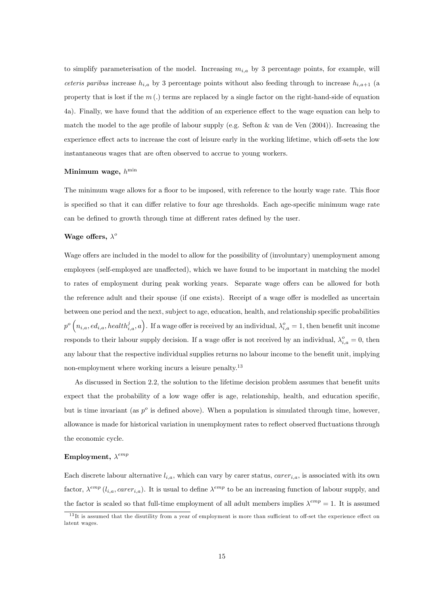to simplify parameterisation of the model. Increasing  $m_{i,a}$  by 3 percentage points, for example, will ceteris paribus increase  $h_{i,a}$  by 3 percentage points without also feeding through to increase  $h_{i,a+1}$  (a property that is lost if the  $m(.)$  terms are replaced by a single factor on the right-hand-side of equation 4a). Finally, we have found that the addition of an experience effect to the wage equation can help to match the model to the age profile of labour supply (e.g. Sefton  $\&$  van de Ven (2004)). Increasing the experience effect acts to increase the cost of leisure early in the working lifetime, which off-sets the low instantaneous wages that are often observed to accrue to young workers.

#### Minimum wage,  $h^{\min}$

The minimum wage allows for a floor to be imposed, with reference to the hourly wage rate. This floor is specified so that it can differ relative to four age thresholds. Each age-specific minimum wage rate can be defined to growth through time at different rates defined by the user.

#### Wage offers,  $\lambda^o$

Wage offers are included in the model to allow for the possibility of (involuntary) unemployment among employees (self-employed are unaffected), which we have found to be important in matching the model to rates of employment during peak working years. Separate wage offers can be allowed for both the reference adult and their spouse (if one exists). Receipt of a wage offer is modelled as uncertain between one period and the next, subject to age, education, health, and relationship specific probabilities  $p^o\left(n_{i,a},ed_{i,a},health_{i,a}^j,a\right)$ . If a wage offer is received by an individual,  $\lambda_{i,a}^o=1$ , then benefit unit income responds to their labour supply decision. If a wage offer is not received by an individual,  $\lambda_{i,a}^o = 0$ , then any labour that the respective individual supplies returns no labour income to the benefit unit, implying non-employment where working incurs a leisure penalty.<sup>13</sup>

As discussed in Section 2.2, the solution to the lifetime decision problem assumes that benefit units expect that the probability of a low wage offer is age, relationship, health, and education specific, but is time invariant (as  $p^o$  is defined above). When a population is simulated through time, however, allowance is made for historical variation in unemployment rates to reflect observed fluctuations through the economic cycle.

#### Employment,  $\lambda^{emp}$

Each discrete labour alternative  $l_{i,a}$ , which can vary by carer status,  $carer_{i,a}$ , is associated with its own factor,  $\lambda^{emp}$  ( $l_{i,a}$ , care $r_{i,a}$ ). It is usual to define  $\lambda^{emp}$  to be an increasing function of labour supply, and the factor is scaled so that full-time employment of all adult members implies  $\lambda^{emp} = 1$ . It is assumed

 $13$ It is assumed that the disutility from a year of employment is more than sufficient to off-set the experience effect on latent wages.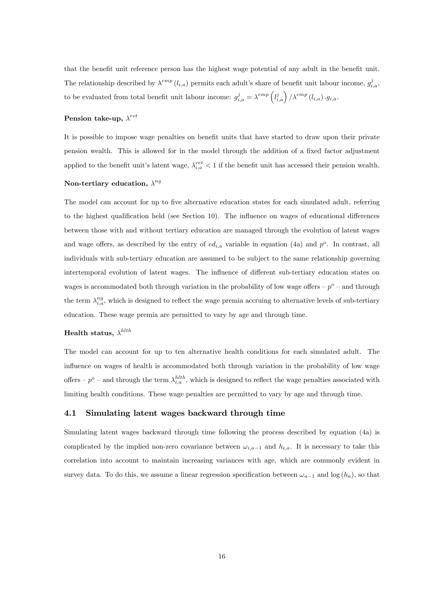that the benefit unit reference person has the highest wage potential of any adult in the benefit unit. The relationship described by  $\lambda^{emp} (l_{i,a})$  permits each adult's share of benefit unit labour income,  $g_{i,a}^j$ , to be evaluated from total benefit unit labour income:  $g_{i,a}^j = \lambda^{emp} \left( l_{i,a}^j \right) / \lambda^{emp} (l_{i,a}) \cdot g_{i,a}$ .

#### Pension take-up,  $\lambda^{ret}$

It is possible to impose wage penalties on benefit units that have started to draw upon their private pension wealth. This is allowed for in the model through the addition of a fixed factor adjustment applied to the benefit unit's latent wage,  $\lambda_{i,a}^{ret} < 1$  if the benefit unit has accessed their pension wealth.

#### Non-tertiary education,  $\lambda^{ng}$

The model can account for up to five alternative education states for each simulated adult, referring to the highest qualification held (see Section 10). The influence on wages of educational differences between those with and without tertiary education are managed through the evolution of latent wages and wage offers, as described by the entry of  $ed_{i,a}$  variable in equation (4a) and  $p^o$ . In contrast, all individuals with sub-tertiary education are assumed to be subject to the same relationship governing intertemporal evolution of latent wages. The influence of different sub-tertiary education states on wages is accommodated both through variation in the probability of low wage offers  $-p^{\circ}$  – and through the term  $\lambda_{i,a}^{ng}$ , which is designed to reflect the wage premia accruing to alternative levels of sub-tertiary education. These wage premia are permitted to vary by age and through time.

#### Health status,  $\lambda^{hlth}$

The model can account for up to ten alternative health conditions for each simulated adult. The influence on wages of health is accommodated both through variation in the probability of low wage offers  $-p^o$  – and through the term  $\lambda_{i,a}^{hlth}$ , which is designed to reflect the wage penalties associated with limiting health conditions. These wage penalties are permitted to vary by age and through time.

#### 4.1 Simulating latent wages backward through time

Simulating latent wages backward through time following the process described by equation (4a) is complicated by the implied non-zero covariance between  $\omega_{i,a-1}$  and  $h_{i,a}$ . It is necessary to take this correlation into account to maintain increasing variances with age, which are commonly evident in survey data. To do this, we assume a linear regression specification between  $\omega_{a-1}$  and log  $(h_a)$ , so that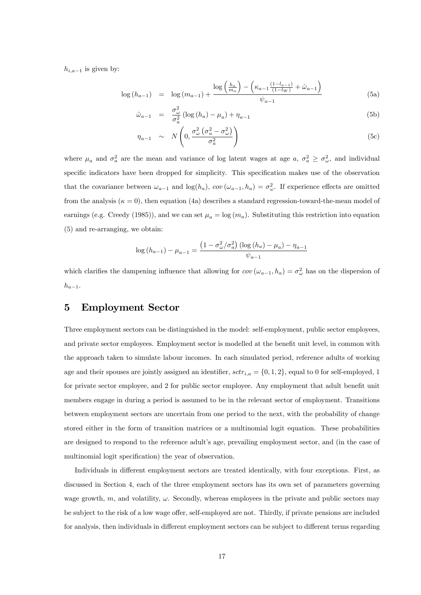$h_{i,a-1}$  is given by:

$$
\log(h_{a-1}) = \log(m_{a-1}) + \frac{\log\left(\frac{h_a}{m_a}\right) - \left(\kappa_{a-1}\frac{(1-l_{a-1})}{(1-l_W)} + \hat{\omega}_{a-1}\right)}{\psi_{a-1}}
$$
(5a)

$$
\hat{\omega}_{a-1} = \frac{\sigma_{\omega}^2}{\sigma_a^2} \left( \log \left( h_a \right) - \mu_a \right) + \eta_{a-1} \tag{5b}
$$

$$
\eta_{a-1} \sim N\left(0, \frac{\sigma_{\omega}^2 \left(\sigma_a^2 - \sigma_{\omega}^2\right)}{\sigma_a^2}\right) \tag{5c}
$$

where  $\mu_a$  and  $\sigma_a^2$  are the mean and variance of log latent wages at age  $a, \sigma_a^2 \geq \sigma_{\omega}^2$ , and individual specific indicators have been dropped for simplicity. This specification makes use of the observation that the covariance between  $\omega_{a-1}$  and  $\log(h_a)$ ,  $cov(\omega_{a-1}, h_a) = \sigma_{\omega}^2$ . If experience effects are omitted from the analysis  $(\kappa = 0)$ , then equation (4a) describes a standard regression-toward-the-mean model of earnings (e.g. Creedy (1985)), and we can set  $\mu_a = \log(m_a)$ . Substituting this restriction into equation (5) and re-arranging, we obtain:

$$
\log (h_{a-1}) - \mu_{a-1} = \frac{\left(1 - \sigma_{\omega}^2 / \sigma_a^2\right) \left(\log (h_a) - \mu_a\right) - \eta_{a-1}}{\psi_{a-1}}
$$

which clarifies the dampening influence that allowing for  $cov(\omega_{a-1}, h_a) = \sigma_{\omega}^2$  has on the dispersion of  $h_{a-1}.$ 

## 5 Employment Sector

Three employment sectors can be distinguished in the model: self-employment, public sector employees, and private sector employees. Employment sector is modelled at the benefit unit level, in common with the approach taken to simulate labour incomes. In each simulated period, reference adults of working age and their spouses are jointly assigned an identifier,  $sctr_{i,a} = \{0, 1, 2\}$ , equal to 0 for self-employed, 1 for private sector employee, and 2 for public sector employee. Any employment that adult benefit unit members engage in during a period is assumed to be in the relevant sector of employment. Transitions between employment sectors are uncertain from one period to the next, with the probability of change stored either in the form of transition matrices or a multinomial logit equation. These probabilities are designed to respond to the reference adult's age, prevailing employment sector, and (in the case of multinomial logit specification) the year of observation.

Individuals in different employment sectors are treated identically, with four exceptions. First, as discussed in Section 4, each of the three employment sectors has its own set of parameters governing wage growth,  $m$ , and volatility,  $\omega$ . Secondly, whereas employees in the private and public sectors may be subject to the risk of a low wage offer, self-employed are not. Thirdly, if private pensions are included for analysis, then individuals in different employment sectors can be subject to different terms regarding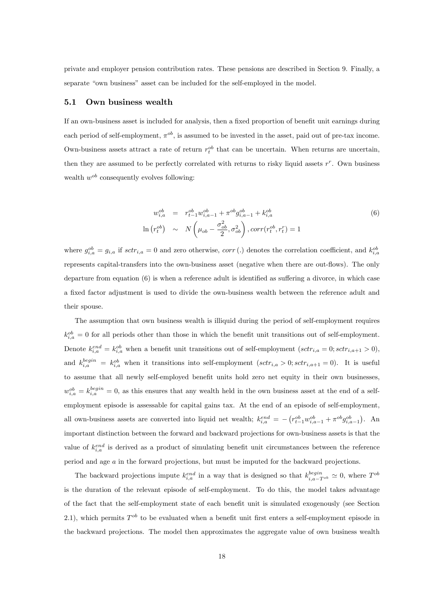private and employer pension contribution rates. These pensions are described in Section 9. Finally, a separate "own business" asset can be included for the self-employed in the model.

#### 5.1 Own business wealth

If an own-business asset is included for analysis, then a fixed proportion of benefit unit earnings during each period of self-employment,  $\pi^{ob}$ , is assumed to be invested in the asset, paid out of pre-tax income. Own-business assets attract a rate of return  $r_t^{ob}$  that can be uncertain. When returns are uncertain, then they are assumed to be perfectly correlated with returns to risky liquid assets  $r^r$ . Own business wealth  $w^{ob}$  consequently evolves following:

$$
w_{i,a}^{ob} = r_{t-1}^{ob} w_{i,a-1}^{ob} + \pi^{ob} g_{i,a-1}^{ob} + k_{i,a}^{ob}
$$
  

$$
\ln (r_t^{ob}) \sim N \left(\mu_{ob} - \frac{\sigma_{ob}^2}{2}, \sigma_{ob}^2\right), corr(r_t^{ob}, r_t^r) = 1
$$
 (6)

where  $g_{i,a}^{ob} = g_{i,a}$  if  $sctr_{i,a} = 0$  and zero otherwise,  $corr(.)$  denotes the correlation coefficient, and  $k_{i,a}^{ob}$ represents capital-transfers into the own-business asset (negative when there are out-flows). The only departure from equation  $(6)$  is when a reference adult is identified as suffering a divorce, in which case a fixed factor adjustment is used to divide the own-business wealth between the reference adult and their spouse.

The assumption that own business wealth is illiquid during the period of self-employment requires  $k_{i,a}^{ob} = 0$  for all periods other than those in which the benefit unit transitions out of self-employment. Denote  $k_{i,a}^{end} = k_{i,a}^{ob}$  when a benefit unit transitions out of self-employment  $(sctr_{i,a} = 0; sctr_{i,a+1} > 0)$ , and  $k_{i,a}^{begin} = k_{i,a}^{ob}$  when it transitions into self-employment  $(sctr_{i,a} > 0; sctr_{i,a+1} = 0)$ . It is useful to assume that all newly self-employed benefit units hold zero net equity in their own businesses,  $w_{i,a}^{ob} = k_{i,a}^{begin} = 0$ , as this ensures that any wealth held in the own business asset at the end of a selfemployment episode is assessable for capital gains tax. At the end of an episode of self-employment, all own-business assets are converted into liquid net wealth;  $k_{i,a}^{end} = -\left(r_{t-1}^{ob}w_{i,a-1}^{ob} + \pi^{ob}g_{i,a-1}^{ob}\right)$ . An important distinction between the forward and backward projections for own-business assets is that the value of  $k_{i,a}^{end}$  is derived as a product of simulating benefit unit circumstances between the reference period and age a in the forward projections, but must be imputed for the backward projections.

The backward projections impute  $k_{i,a}^{end}$  in a way that is designed so that  $k_{i,a-T^{ob}}^{begin} \simeq 0$ , where  $T^{ob}$ is the duration of the relevant episode of self-employment. To do this, the model takes advantage of the fact that the self-employment state of each benefit unit is simulated exogenously (see Section 2.1), which permits  $T^{ob}$  to be evaluated when a benefit unit first enters a self-employment episode in the backward projections. The model then approximates the aggregate value of own business wealth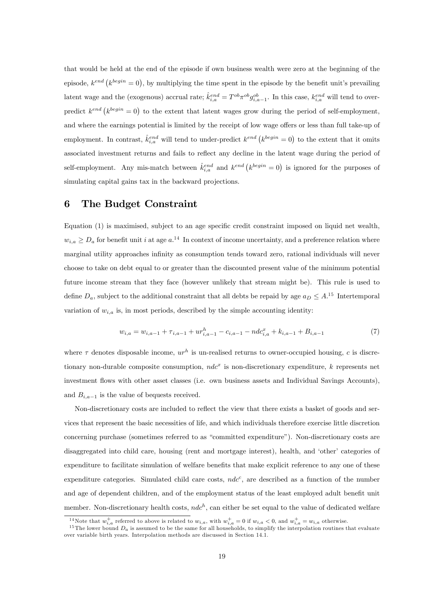that would be held at the end of the episode if own business wealth were zero at the beginning of the episode,  $k^{end} (k^{begin} = 0)$ , by multiplying the time spent in the episode by the benefit unit's prevailing latent wage and the (exogenous) accrual rate;  $\hat{k}_{i,a}^{end} = T^{ob} \pi^{ob} g_{i,a-1}^{ob}$ . In this case,  $k_{i,a}^{end}$  will tend to overpredict  $k^{end} (k^{begin} = 0)$  to the extent that latent wages grow during the period of self-employment, and where the earnings potential is limited by the receipt of low wage offers or less than full take-up of employment. In contrast,  $\hat{k}^{end}_{i,a}$  will tend to under-predict  $k^{end} (k^{begin} = 0)$  to the extent that it omits associated investment returns and fails to reflect any decline in the latent wage during the period of self-employment. Any mis-match between  $\hat{k}^{end}_{i,a}$  and  $k^{end} (k^{begin} = 0)$  is ignored for the purposes of simulating capital gains tax in the backward projections.

### 6 The Budget Constraint

Equation (1) is maximised, subject to an age specific credit constraint imposed on liquid net wealth,  $w_{i,a} \ge D_a$  for benefit unit i at age  $a$ .<sup>14</sup> In context of income uncertainty, and a preference relation where marginal utility approaches infinity as consumption tends toward zero, rational individuals will never choose to take on debt equal to or greater than the discounted present value of the minimum potential future income stream that they face (however unlikely that stream might be). This rule is used to define  $D_a$ , subject to the additional constraint that all debts be repaid by age  $a_D \leq A^{15}$  Intertemporal variation of  $w_{i,a}$  is, in most periods, described by the simple accounting identity:

$$
w_{i,a} = w_{i,a-1} + \tau_{i,a-1} + ur_{i,a-1}^h - c_{i,a-1} - ndc_{i,a}^x + k_{i,a-1} + B_{i,a-1}
$$
\n
$$
(7)
$$

where  $\tau$  denotes disposable income,  $ur^h$  is un-realised returns to owner-occupied housing, c is discretionary non-durable composite consumption,  $ndc^x$  is non-discretionary expenditure, k represents net investment flows with other asset classes (i.e. own business assets and Individual Savings Accounts), and  $B_{i,a-1}$  is the value of bequests received.

Non-discretionary costs are included to reflect the view that there exists a basket of goods and services that represent the basic necessities of life, and which individuals therefore exercise little discretion concerning purchase (sometimes referred to as "committed expenditure"). Non-discretionary costs are disaggregated into child care, housing (rent and mortgage interest), health, and 'other' categories of expenditure to facilitate simulation of welfare benefits that make explicit reference to any one of these expenditure categories. Simulated child care costs,  $ndc^c$ , are described as a function of the number and age of dependent children, and of the employment status of the least employed adult benefit unit member. Non-discretionary health costs,  $ndc^h$ , can either be set equal to the value of dedicated welfare

<sup>&</sup>lt;sup>14</sup>Note that  $w_{i,a}^+$  referred to above is related to  $w_{i,a}$ , with  $w_{i,a}^+ = 0$  if  $w_{i,a} < 0$ , and  $w_{i,a}^+ = w_{i,a}$  otherwise.

<sup>&</sup>lt;sup>15</sup> The lower bound  $D_a$  is assumed to be the same for all households, to simplify the interpolation routines that evaluate over variable birth years. Interpolation methods are discussed in Section 14.1.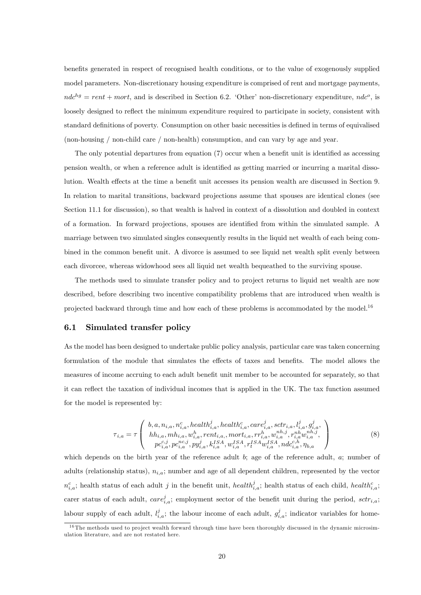benefits generated in respect of recognised health conditions, or to the value of exogenously supplied model parameters. Non-discretionary housing expenditure is comprised of rent and mortgage payments,  $ndc^{hg} = rent + mort$ , and is described in Section 6.2. 'Other' non-discretionary expenditure,  $ndc^o$ , is loosely designed to reflect the minimum expenditure required to participate in society, consistent with standard definitions of poverty. Consumption on other basic necessities is defined in terms of equivalised (non-housing / non-child care / non-health) consumption, and can vary by age and year.

The only potential departures from equation  $(7)$  occur when a benefit unit is identified as accessing pension wealth, or when a reference adult is identified as getting married or incurring a marital dissolution. Wealth effects at the time a benefit unit accesses its pension wealth are discussed in Section 9. In relation to marital transitions, backward projections assume that spouses are identical clones (see Section 11.1 for discussion), so that wealth is halved in context of a dissolution and doubled in context of a formation. In forward projections, spouses are identified from within the simulated sample. A marriage between two simulated singles consequently results in the liquid net wealth of each being combined in the common benefit unit. A divorce is assumed to see liquid net wealth split evenly between each divorcee, whereas widowhood sees all liquid net wealth bequeathed to the surviving spouse.

The methods used to simulate transfer policy and to project returns to liquid net wealth are now described, before describing two incentive compatibility problems that are introduced when wealth is projected backward through time and how each of these problems is accommodated by the model.<sup>16</sup>

#### 6.1 Simulated transfer policy

As the model has been designed to undertake public policy analysis, particular care was taken concerning formulation of the module that simulates the effects of taxes and benefits. The model allows the measures of income accruing to each adult benefit unit member to be accounted for separately, so that it can reflect the taxation of individual incomes that is applied in the UK. The tax function assumed for the model is represented by:

$$
\tau_{i,a} = \tau \left( \begin{array}{c} b, a, n_{i,a}, n_{i,a}^c, health_{i,a}^j, health_{i,a}^c, care_{i,a}^j, sctr_{i,a}, l_{i,a}^j, g_{i,a}^j, \\ hh_{i,a}, mh_{i,a}, wh_{i,a}^h, rent_{i,a}, mort_{i,a}, rr_{i,a}^h, w_{i,a}^{nh,j}, r_{i,a}^{nh}w_{i,a}^{nh,j}, \\ pc_{i,a}^{c,j}, pc_{i,a}^{nc,j}, py_{i,a}^j, k_{i,a}^{ISA}, w_{i,a}^{ISA}, rf_{i,a}^{SA}, ndc_{i,a}^{ch}, \eta_{b,a} \end{array} \right) \tag{8}
$$

which depends on the birth year of the reference adult b; age of the reference adult,  $a$ ; number of adults (relationship status),  $n_{i,a}$ ; number and age of all dependent children, represented by the vector  $n_{i,a}^c$ ; health status of each adult j in the benefit unit, health $i_{i,a}^j$ ; health status of each child, health $i_{i,a}^c$ ; carer status of each adult,  $care_{i,a}^j$ ; employment sector of the benefit unit during the period,  $str_{i,a}$ ; labour supply of each adult,  $l_{i,a}^j$ ; the labour income of each adult,  $g_{i,a}^j$ ; indicator variables for home-

<sup>&</sup>lt;sup>16</sup>The methods used to project wealth forward through time have been thoroughly discussed in the dynamic microsimulation literature, and are not restated here.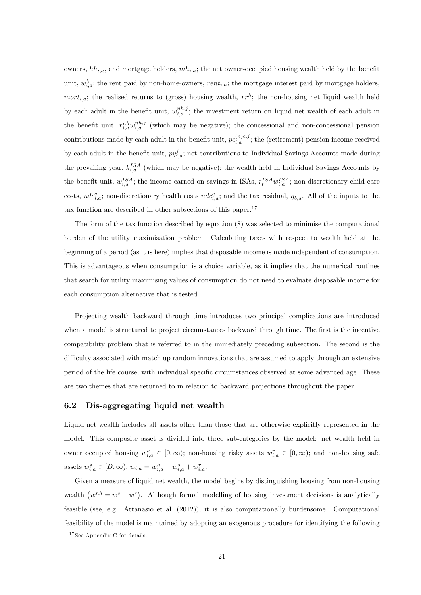owners,  $hh_{i,a}$ , and mortgage holders,  $mh_{i,a}$ ; the net owner-occupied housing wealth held by the benefit unit,  $w_{i,a}^h$ ; the rent paid by non-home-owners, rent<sub>i,a</sub>; the mortgage interest paid by mortgage holders,  $mort_{i,a}$ ; the realised returns to (gross) housing wealth,  $rr^h$ ; the non-housing net liquid wealth held by each adult in the benefit unit,  $w_{i,a}^{nh,j}$ ; the investment return on liquid net wealth of each adult in the benefit unit,  $r_{i,a}^{nh}w_{i,a}^{nh,j}$  (which may be negative); the concessional and non-concessional pension contributions made by each adult in the benefit unit,  $pc_{i,a}^{(n)c,j}$ ; the (retirement) pension income received by each adult in the benefit unit,  $py_{i,a}^j$ ; net contributions to Individual Savings Accounts made during the prevailing year,  $k_{i,a}^{ISA}$  (which may be negative); the wealth held in Individual Savings Accounts by the benefit unit,  $w_{i,a}^{ISA}$ ; the income earned on savings in ISAs,  $r_t^{ISA}w_{i,a}^{ISA}$ ; non-discretionary child care costs,  $ndc_{i,a}^c$ ; non-discretionary health costs  $ndc_{i,a}^h$ ; and the tax residual,  $\eta_{b,a}$ . All of the inputs to the tax function are described in other subsections of this paper.<sup>17</sup>

The form of the tax function described by equation (8) was selected to minimise the computational burden of the utility maximisation problem. Calculating taxes with respect to wealth held at the beginning of a period (as it is here) implies that disposable income is made independent of consumption. This is advantageous when consumption is a choice variable, as it implies that the numerical routines that search for utility maximising values of consumption do not need to evaluate disposable income for each consumption alternative that is tested.

Projecting wealth backward through time introduces two principal complications are introduced when a model is structured to project circumstances backward through time. The first is the incentive compatibility problem that is referred to in the immediately preceding subsection. The second is the difficulty associated with match up random innovations that are assumed to apply through an extensive period of the life course, with individual specific circumstances observed at some advanced age. These are two themes that are returned to in relation to backward projections throughout the paper.

#### 6.2 Dis-aggregating liquid net wealth

Liquid net wealth includes all assets other than those that are otherwise explicitly represented in the model. This composite asset is divided into three sub-categories by the model: net wealth held in owner occupied housing  $w_{i,a}^h \in [0,\infty)$ ; non-housing risky assets  $w_{i,a}^r \in [0,\infty)$ ; and non-housing safe assets  $w_{i,a}^s \in [D, \infty)$ ;  $w_{i,a} = w_{i,a}^h + w_{i,a}^s + w_{i,a}^r$ .

Given a measure of liquid net wealth, the model begins by distinguishing housing from non-housing wealth  $(w^{nh} = w^s + w^r)$ . Although formal modelling of housing investment decisions is analytically feasible (see, e.g. Attanasio et al. (2012)), it is also computationally burdensome. Computational feasibility of the model is maintained by adopting an exogenous procedure for identifying the following

<sup>17</sup> See Appendix C for details.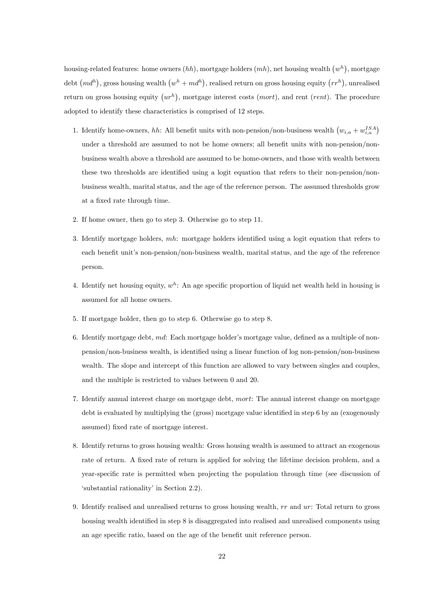housing-related features: home owners  $(hh)$ , mortgage holders  $(mh)$ , net housing wealth  $(w<sup>h</sup>)$ , mortgage debt  $(md^h)$ , gross housing wealth  $(w^h + md^h)$ , realised return on gross housing equity  $(rr^h)$ , unrealised return on gross housing equity  $(ur^h)$ , mortgage interest costs  $(mort)$ , and rent  $(rent)$ . The procedure adopted to identify these characteristics is comprised of 12 steps.

- 1. Identify home-owners, hh: All benefit units with non-pension/non-business wealth  $(w_{i,a} + w_{i,a}^{ISA})$ under a threshold are assumed to not be home owners; all benefit units with non-pension/nonbusiness wealth above a threshold are assumed to be home-owners, and those with wealth between these two thresholds are identified using a logit equation that refers to their non-pension/nonbusiness wealth, marital status, and the age of the reference person. The assumed thresholds grow at a fixed rate through time.
- 2. If home owner, then go to step 3. Otherwise go to step 11.
- 3. Identify mortgage holders,  $mh$ : mortgage holders identified using a logit equation that refers to each benefit unit's non-pension/non-business wealth, marital status, and the age of the reference person.
- 4. Identify net housing equity,  $w^h$ : An age specific proportion of liquid net wealth held in housing is assumed for all home owners.
- 5. If mortgage holder, then go to step 6. Otherwise go to step 8.
- 6. Identify mortgage debt,  $md:$  Each mortgage holder's mortgage value, defined as a multiple of nonpension/non-business wealth, is identified using a linear function of log non-pension/non-business wealth. The slope and intercept of this function are allowed to vary between singles and couples, and the multiple is restricted to values between 0 and 20.
- 7. Identify annual interest charge on mortgage debt, mort: The annual interest change on mortgage debt is evaluated by multiplying the (gross) mortgage value identified in step 6 by an (exogenously assumed) fixed rate of mortgage interest.
- 8. Identify returns to gross housing wealth: Gross housing wealth is assumed to attract an exogenous rate of return. A fixed rate of return is applied for solving the lifetime decision problem, and a year-specific rate is permitted when projecting the population through time (see discussion of 'substantial rationality' in Section 2.2).
- 9. Identify realised and unrealised returns to gross housing wealth, rr and ur: Total return to gross housing wealth identified in step 8 is disaggregated into realised and unrealised components using an age specific ratio, based on the age of the benefit unit reference person.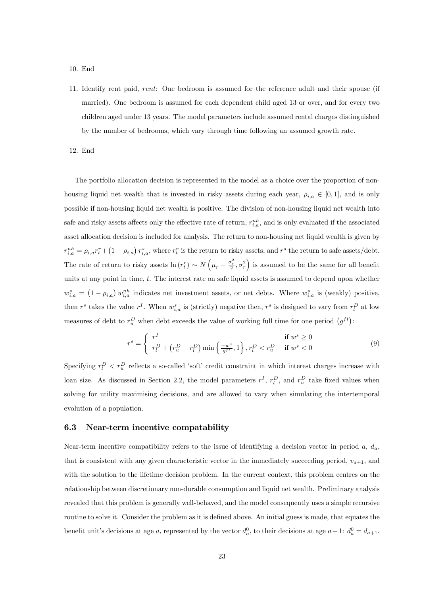#### 10. End

11. Identify rent paid, rent: One bedroom is assumed for the reference adult and their spouse (if married). One bedroom is assumed for each dependent child aged 13 or over, and for every two children aged under 13 years. The model parameters include assumed rental charges distinguished by the number of bedrooms, which vary through time following an assumed growth rate.

12. End

The portfolio allocation decision is represented in the model as a choice over the proportion of nonhousing liquid net wealth that is invested in risky assets during each year,  $\rho_{i,a} \in [0, 1]$ , and is only possible if non-housing liquid net wealth is positive. The division of non-housing liquid net wealth into safe and risky assets affects only the effective rate of return,  $r_{i,a}^{nh}$ , and is only evaluated if the associated asset allocation decision is included for analysis. The return to non-housing net liquid wealth is given by  $r_{i,a}^{nh} = \rho_{i,a} r_t^r + (1 - \rho_{i,a}) r_{i,a}^s$ , where  $r_t^r$  is the return to risky assets, and  $r^s$  the return to safe assets/debt. The rate of return to risky assets  $\ln (r_t^r) \sim N\left(\mu_r - \frac{\sigma_r^2}{2}, \sigma_r^2\right)$  is assumed to be the same for all benefit units at any point in time, t. The interest rate on safe liquid assets is assumed to depend upon whether  $w_{i,a}^s = (1 - \rho_{i,a}) w_{i,a}^{nh}$  indicates net investment assets, or net debts. Where  $w_{i,a}^s$  is (weakly) positive, then  $r^s$  takes the value  $r^I$ . When  $w_{i,a}^s$  is (strictly) negative then,  $r^s$  is designed to vary from  $r_l^D$  at low measures of debt to  $r_u^D$  when debt exceeds the value of working full time for one period  $(g^{ft})$ :

$$
r^{s} = \begin{cases} r^{I} & \text{if } w^{s} \ge 0\\ r_{l}^{D} + \left(r_{u}^{D} - r_{l}^{D}\right) \min\left\{\frac{-w^{s}}{g^{ft}}, 1\right\}, r_{l}^{D} & \text{if } w^{s} < 0 \end{cases}
$$
(9)

Specifying  $r_l^D \, \langle r_u^D \rangle$  reflects a so-called 'soft' credit constraint in which interest charges increase with loan size. As discussed in Section 2.2, the model parameters  $r<sup>I</sup>$ ,  $r<sub>l</sub><sup>D</sup>$ , and  $r<sub>u</sub><sup>D</sup>$  take fixed values when solving for utility maximising decisions, and are allowed to vary when simulating the intertemporal evolution of a population.

#### 6.3 Near-term incentive compatability

Near-term incentive compatibility refers to the issue of identifying a decision vector in period a,  $d_a$ , that is consistent with any given characteristic vector in the immediately succeeding period,  $v_{a+1}$ , and with the solution to the lifetime decision problem. In the current context, this problem centres on the relationship between discretionary non-durable consumption and liquid net wealth. Preliminary analysis revealed that this problem is generally well-behaved, and the model consequently uses a simple recursive routine to solve it. Consider the problem as it is defined above. An initial guess is made, that equates the benefit unit's decisions at age a, represented by the vector  $d_a^0$ , to their decisions at age  $a+1$ :  $d_a^0 = d_{a+1}$ .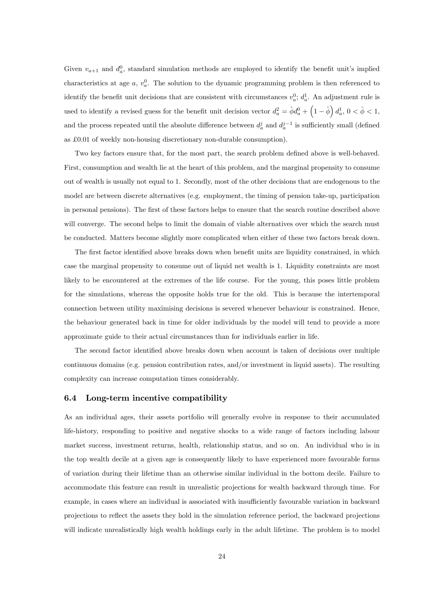Given  $v_{a+1}$  and  $d_a^0$ , standard simulation methods are employed to identify the benefit unit's implied characteristics at age  $a, v_a^0$ . The solution to the dynamic programming problem is then referenced to identify the benefit unit decisions that are consistent with circumstances  $v_a^0$ ;  $d_a^1$ . An adjustment rule is used to identify a revised guess for the benefit unit decision vector  $d_a^2 = \hat{\phi} d_a^0 + \left(1 - \hat{\phi}\right) d_a^1$ ,  $0 < \hat{\phi} < 1$ , and the process repeated until the absolute difference between  $d_a^j$  and  $d_a^{j-1}$  is sufficiently small (defined as  $£0.01$  of weekly non-housing discretionary non-durable consumption).

Two key factors ensure that, for the most part, the search problem defined above is well-behaved. First, consumption and wealth lie at the heart of this problem, and the marginal propensity to consume out of wealth is usually not equal to 1. Secondly, most of the other decisions that are endogenous to the model are between discrete alternatives (e.g. employment, the timing of pension take-up, participation in personal pensions). The first of these factors helps to ensure that the search routine described above will converge. The second helps to limit the domain of viable alternatives over which the search must be conducted. Matters become slightly more complicated when either of these two factors break down.

The first factor identified above breaks down when benefit units are liquidity constrained, in which case the marginal propensity to consume out of liquid net wealth is 1. Liquidity constraints are most likely to be encountered at the extremes of the life course. For the young, this poses little problem for the simulations, whereas the opposite holds true for the old. This is because the intertemporal connection between utility maximising decisions is severed whenever behaviour is constrained. Hence, the behaviour generated back in time for older individuals by the model will tend to provide a more approximate guide to their actual circumstances than for individuals earlier in life.

The second factor identified above breaks down when account is taken of decisions over multiple continuous domains (e.g. pension contribution rates, and/or investment in liquid assets). The resulting complexity can increase computation times considerably.

#### 6.4 Long-term incentive compatibility

As an individual ages, their assets portfolio will generally evolve in response to their accumulated life-history, responding to positive and negative shocks to a wide range of factors including labour market success, investment returns, health, relationship status, and so on. An individual who is in the top wealth decile at a given age is consequently likely to have experienced more favourable forms of variation during their lifetime than an otherwise similar individual in the bottom decile. Failure to accommodate this feature can result in unrealistic projections for wealth backward through time. For example, in cases where an individual is associated with insufficiently favourable variation in backward projections to reáect the assets they hold in the simulation reference period, the backward projections will indicate unrealistically high wealth holdings early in the adult lifetime. The problem is to model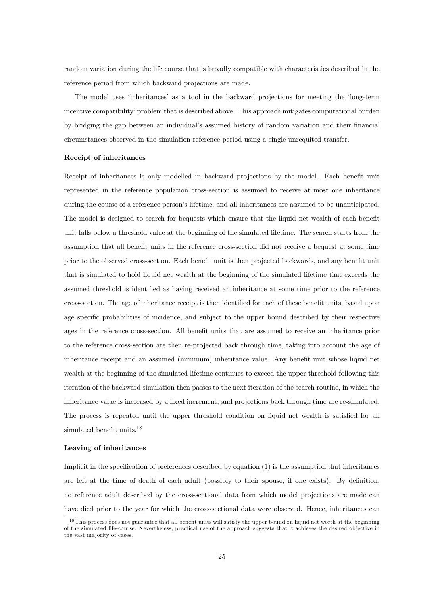random variation during the life course that is broadly compatible with characteristics described in the reference period from which backward projections are made.

The model uses 'inheritances' as a tool in the backward projections for meeting the 'long-term incentive compatibility' problem that is described above. This approach mitigates computational burden by bridging the gap between an individual's assumed history of random variation and their financial circumstances observed in the simulation reference period using a single unrequited transfer.

#### Receipt of inheritances

Receipt of inheritances is only modelled in backward projections by the model. Each benefit unit represented in the reference population cross-section is assumed to receive at most one inheritance during the course of a reference person's lifetime, and all inheritances are assumed to be unanticipated. The model is designed to search for bequests which ensure that the liquid net wealth of each benefit unit falls below a threshold value at the beginning of the simulated lifetime. The search starts from the assumption that all benefit units in the reference cross-section did not receive a bequest at some time prior to the observed cross-section. Each benefit unit is then projected backwards, and any benefit unit that is simulated to hold liquid net wealth at the beginning of the simulated lifetime that exceeds the assumed threshold is identified as having received an inheritance at some time prior to the reference cross-section. The age of inheritance receipt is then identified for each of these benefit units, based upon age specific probabilities of incidence, and subject to the upper bound described by their respective ages in the reference cross-section. All benefit units that are assumed to receive an inheritance prior to the reference cross-section are then re-projected back through time, taking into account the age of inheritance receipt and an assumed (minimum) inheritance value. Any benefit unit whose liquid net wealth at the beginning of the simulated lifetime continues to exceed the upper threshold following this iteration of the backward simulation then passes to the next iteration of the search routine, in which the inheritance value is increased by a fixed increment, and projections back through time are re-simulated. The process is repeated until the upper threshold condition on liquid net wealth is satisfied for all simulated benefit units. $18$ 

#### Leaving of inheritances

Implicit in the specification of preferences described by equation  $(1)$  is the assumption that inheritances are left at the time of death of each adult (possibly to their spouse, if one exists). By definition, no reference adult described by the cross-sectional data from which model projections are made can have died prior to the year for which the cross-sectional data were observed. Hence, inheritances can

 $18$ This process does not guarantee that all benefit units will satisfy the upper bound on liquid net worth at the beginning of the simulated life-course. Nevertheless, practical use of the approach suggests that it achieves the desired objective in the vast majority of cases.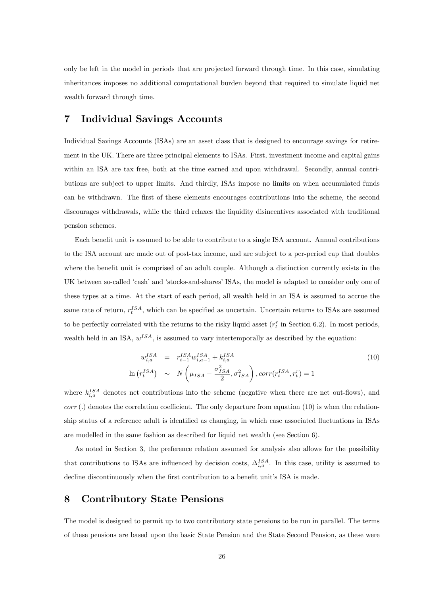only be left in the model in periods that are projected forward through time. In this case, simulating inheritances imposes no additional computational burden beyond that required to simulate liquid net wealth forward through time.

## 7 Individual Savings Accounts

Individual Savings Accounts (ISAs) are an asset class that is designed to encourage savings for retirement in the UK. There are three principal elements to ISAs. First, investment income and capital gains within an ISA are tax free, both at the time earned and upon withdrawal. Secondly, annual contributions are subject to upper limits. And thirdly, ISAs impose no limits on when accumulated funds can be withdrawn. The first of these elements encourages contributions into the scheme, the second discourages withdrawals, while the third relaxes the liquidity disincentives associated with traditional pension schemes.

Each benefit unit is assumed to be able to contribute to a single ISA account. Annual contributions to the ISA account are made out of post-tax income, and are subject to a per-period cap that doubles where the benefit unit is comprised of an adult couple. Although a distinction currently exists in the UK between so-called 'cash' and 'stocks-and-shares' ISAs, the model is adapted to consider only one of these types at a time. At the start of each period, all wealth held in an ISA is assumed to accrue the same rate of return,  $r_t^{ISA}$ , which can be specified as uncertain. Uncertain returns to ISAs are assumed to be perfectly correlated with the returns to the risky liquid asset  $(r_t^r$  in Section 6.2). In most periods, wealth held in an ISA,  $w^{ISA}$ , is assumed to vary intertemporally as described by the equation:

$$
w_{i,a}^{ISA} = r_{t-1}^{ISA} w_{i,a-1}^{ISA} + k_{i,a}^{ISA} \n\ln(r_t^{ISA}) \sim N\left(\mu_{ISA} - \frac{\sigma_{ISA}^2}{2}, \sigma_{ISA}^2\right), corr(r_t^{ISA}, r_t^r) = 1
$$
\n(10)

where  $k_{i,a}^{ISA}$  denotes net contributions into the scheme (negative when there are net out-flows), and  $corr(.)$  denotes the correlation coefficient. The only departure from equation (10) is when the relationship status of a reference adult is identified as changing, in which case associated fluctuations in ISAs are modelled in the same fashion as described for liquid net wealth (see Section 6).

As noted in Section 3, the preference relation assumed for analysis also allows for the possibility that contributions to ISAs are influenced by decision costs,  $\Delta_{i,a}^{ISA}$ . In this case, utility is assumed to decline discontinuously when the first contribution to a benefit unit's ISA is made.

## 8 Contributory State Pensions

The model is designed to permit up to two contributory state pensions to be run in parallel. The terms of these pensions are based upon the basic State Pension and the State Second Pension, as these were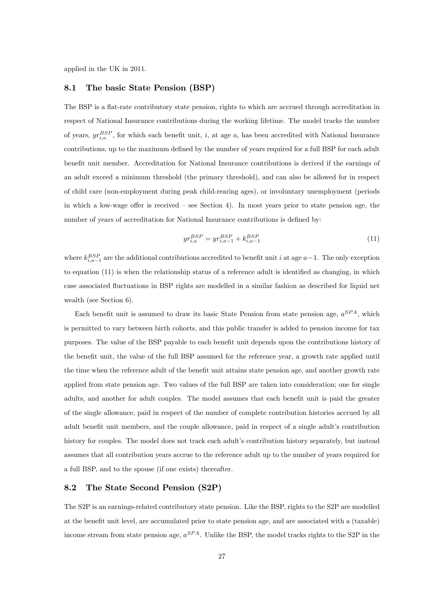applied in the UK in 2011.

#### 8.1 The basic State Pension (BSP)

The BSP is a flat-rate contributory state pension, rights to which are accrued through accreditation in respect of National Insurance contributions during the working lifetime. The model tracks the number of years,  $yr_{i,a}^{BSP}$ , for which each benefit unit, i, at age a, has been accredited with National Insurance contributions, up to the maximum defined by the number of years required for a full BSP for each adult benefit unit member. Accreditation for National Insurance contributions is derived if the earnings of an adult exceed a minimum threshold (the primary threshold), and can also be allowed for in respect of child care (non-employment during peak child-rearing ages), or involuntary unemployment (periods in which a low-wage offer is received  $-$  see Section 4). In most years prior to state pension age, the number of years of accreditation for National Insurance contributions is defined by:

$$
yr_{i,a}^{BSP} = yr_{i,a-1}^{BSP} + k_{i,a-1}^{BSP}
$$
 (11)

where  $k_{i,a-1}^{BSP}$  are the additional contributions accredited to benefit unit i at age  $a-1$ . The only exception to equation  $(11)$  is when the relationship status of a reference adult is identified as changing, in which case associated áuctuations in BSP rights are modelled in a similar fashion as described for liquid net wealth (see Section 6).

Each benefit unit is assumed to draw its basic State Pension from state pension age,  $a^{SPA}$ , which is permitted to vary between birth cohorts, and this public transfer is added to pension income for tax purposes. The value of the BSP payable to each benefit unit depends upon the contributions history of the benefit unit, the value of the full BSP assumed for the reference year, a growth rate applied until the time when the reference adult of the benefit unit attains state pension age, and another growth rate applied from state pension age. Two values of the full BSP are taken into consideration; one for single adults, and another for adult couples. The model assumes that each benefit unit is paid the greater of the single allowance, paid in respect of the number of complete contribution histories accrued by all adult benefit unit members, and the couple allowance, paid in respect of a single adult's contribution history for couples. The model does not track each adult's contribution history separately, but instead assumes that all contribution years accrue to the reference adult up to the number of years required for a full BSP, and to the spouse (if one exists) thereafter.

#### 8.2 The State Second Pension (S2P)

The S2P is an earnings-related contributory state pension. Like the BSP, rights to the S2P are modelled at the benefit unit level, are accumulated prior to state pension age, and are associated with a (taxable) income stream from state pension age,  $a^{SPA}$ . Unlike the BSP, the model tracks rights to the S2P in the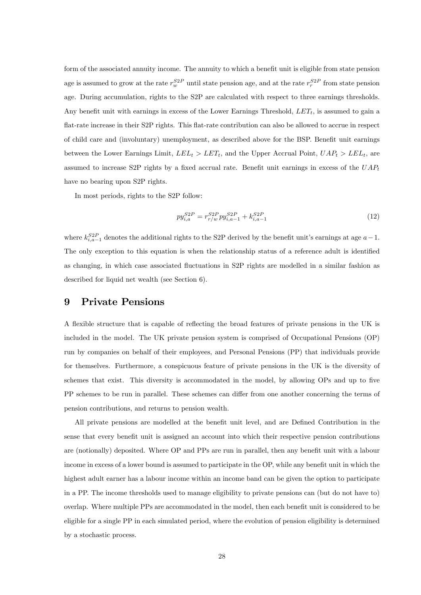form of the associated annuity income. The annuity to which a benefit unit is eligible from state pension age is assumed to grow at the rate  $r_w^{S2P}$  until state pension age, and at the rate  $r_v^{S2P}$  from state pension age. During accumulation, rights to the S2P are calculated with respect to three earnings thresholds. Any benefit unit with earnings in excess of the Lower Earnings Threshold,  $LET_t$ , is assumed to gain a flat-rate increase in their S2P rights. This flat-rate contribution can also be allowed to accrue in respect of child care and (involuntary) unemployment, as described above for the BSP. Benefit unit earnings between the Lower Earnings Limit,  $LEL_t > EET_t$ , and the Upper Accrual Point,  $UAP_t > LEL_t$ , are assumed to increase S2P rights by a fixed accrual rate. Benefit unit earnings in excess of the  $UAP_t$ have no bearing upon S2P rights.

In most periods, rights to the S2P follow:

$$
py_{i,a}^{S2P} = r_{r/w}^{S2P}py_{i,a-1}^{S2P} + k_{i,a-1}^{S2P}
$$
\n
$$
(12)
$$

where  $k_{i,a-1}^{S2P}$  denotes the additional rights to the S2P derived by the benefit unit's earnings at age  $a-1$ . The only exception to this equation is when the relationship status of a reference adult is identified as changing, in which case associated fluctuations in S2P rights are modelled in a similar fashion as described for liquid net wealth (see Section 6).

### 9 Private Pensions

A flexible structure that is capable of reflecting the broad features of private pensions in the UK is included in the model. The UK private pension system is comprised of Occupational Pensions (OP) run by companies on behalf of their employees, and Personal Pensions (PP) that individuals provide for themselves. Furthermore, a conspicuous feature of private pensions in the UK is the diversity of schemes that exist. This diversity is accommodated in the model, by allowing OPs and up to five PP schemes to be run in parallel. These schemes can differ from one another concerning the terms of pension contributions, and returns to pension wealth.

All private pensions are modelled at the benefit unit level, and are Defined Contribution in the sense that every benefit unit is assigned an account into which their respective pension contributions are (notionally) deposited. Where OP and PPs are run in parallel, then any benefit unit with a labour income in excess of a lower bound is assumed to participate in the OP, while any benefit unit in which the highest adult earner has a labour income within an income band can be given the option to participate in a PP. The income thresholds used to manage eligibility to private pensions can (but do not have to) overlap. Where multiple PPs are accommodated in the model, then each benefit unit is considered to be eligible for a single PP in each simulated period, where the evolution of pension eligibility is determined by a stochastic process.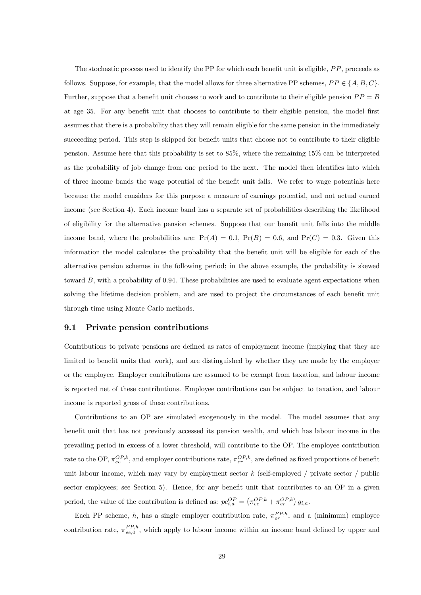The stochastic process used to identify the PP for which each benefit unit is eligible,  $PP$ , proceeds as follows. Suppose, for example, that the model allows for three alternative PP schemes,  $PP \in \{A, B, C\}$ . Further, suppose that a benefit unit chooses to work and to contribute to their eligible pension  $PP = B$ at age 35. For any benefit unit that chooses to contribute to their eligible pension, the model first assumes that there is a probability that they will remain eligible for the same pension in the immediately succeeding period. This step is skipped for benefit units that choose not to contribute to their eligible pension. Assume here that this probability is set to 85%, where the remaining 15% can be interpreted as the probability of job change from one period to the next. The model then identifies into which of three income bands the wage potential of the benefit unit falls. We refer to wage potentials here because the model considers for this purpose a measure of earnings potential, and not actual earned income (see Section 4). Each income band has a separate set of probabilities describing the likelihood of eligibility for the alternative pension schemes. Suppose that our benefit unit falls into the middle income band, where the probabilities are:  $Pr(A) = 0.1$ ,  $Pr(B) = 0.6$ , and  $Pr(C) = 0.3$ . Given this information the model calculates the probability that the benefit unit will be eligible for each of the alternative pension schemes in the following period; in the above example, the probability is skewed toward  $B$ , with a probability of 0.94. These probabilities are used to evaluate agent expectations when solving the lifetime decision problem, and are used to project the circumstances of each benefit unit through time using Monte Carlo methods.

#### 9.1 Private pension contributions

Contributions to private pensions are defined as rates of employment income (implying that they are limited to benefit units that work), and are distinguished by whether they are made by the employer or the employee. Employer contributions are assumed to be exempt from taxation, and labour income is reported net of these contributions. Employee contributions can be subject to taxation, and labour income is reported gross of these contributions.

Contributions to an OP are simulated exogenously in the model. The model assumes that any benefit unit that has not previously accessed its pension wealth, and which has labour income in the prevailing period in excess of a lower threshold, will contribute to the OP. The employee contribution rate to the OP,  $\pi_{ee}^{OP,k}$ , and employer contributions rate,  $\pi_{er}^{OP,k}$ , are defined as fixed proportions of benefit unit labour income, which may vary by employment sector k (self-employed / private sector / public sector employees; see Section 5). Hence, for any benefit unit that contributes to an  $OP$  in a given period, the value of the contribution is defined as:  $pc_{i,a}^{OP} = (\pi_{ee}^{OP,k} + \pi_{er}^{OP,k}) g_{i,a}$ .

Each PP scheme, h, has a single employer contribution rate,  $\pi_{er}^{PP,h}$ , and a (minimum) employee contribution rate,  $\pi_{ee,0}^{PP,h}$ , which apply to labour income within an income band defined by upper and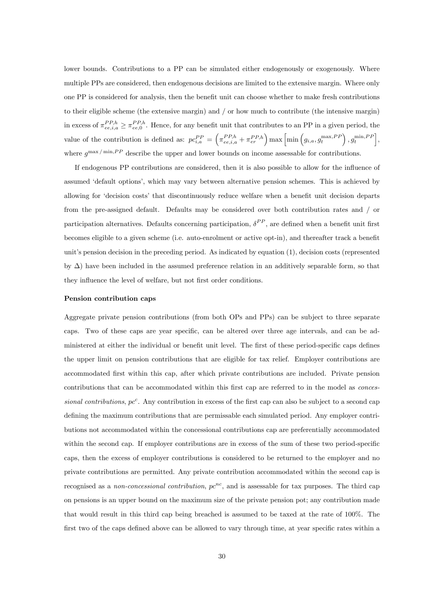lower bounds. Contributions to a PP can be simulated either endogenously or exogenously. Where multiple PPs are considered, then endogenous decisions are limited to the extensive margin. Where only one PP is considered for analysis, then the benefit unit can choose whether to make fresh contributions to their eligible scheme (the extensive margin) and / or how much to contribute (the intensive margin) in excess of  $\pi_{ee,i,a}^{PP,h} \geq \pi_{ee,0}^{PP,h}$ . Hence, for any benefit unit that contributes to an PP in a given period, the value of the contribution is defined as:  $pc_{i,a}^{PP} = \left(\pi_{ee,i,a}^{PP,h} + \pi_{er}^{PP,h}\right) \max\left[\min\left(g_{i,a}, g_t^{\max, PP}\right), g_t^{\min, PP}\right],$ where  $g^{\text{max}}/\text{min}, PP$  describe the upper and lower bounds on income assessable for contributions.

If endogenous PP contributions are considered, then it is also possible to allow for the ináuence of assumed 'default options', which may vary between alternative pension schemes. This is achieved by allowing for 'decision costs' that discontinuously reduce welfare when a benefit unit decision departs from the pre-assigned default. Defaults may be considered over both contribution rates and / or participation alternatives. Defaults concerning participation,  $\delta^{PP}$ , are defined when a benefit unit first becomes eligible to a given scheme (i.e. auto-enrolment or active opt-in), and thereafter track a benefit unit's pension decision in the preceding period. As indicated by equation  $(1)$ , decision costs (represented by  $\Delta$ ) have been included in the assumed preference relation in an additively separable form, so that they influence the level of welfare, but not first order conditions.

#### Pension contribution caps

Aggregate private pension contributions (from both OPs and PPs) can be subject to three separate caps. Two of these caps are year specific, can be altered over three age intervals, and can be administered at either the individual or benefit unit level. The first of these period-specific caps defines the upper limit on pension contributions that are eligible for tax relief. Employer contributions are accommodated Örst within this cap, after which private contributions are included. Private pension contributions that can be accommodated within this first cap are referred to in the model as *conces*sional contributions,  $pc^c$ . Any contribution in excess of the first cap can also be subject to a second cap defining the maximum contributions that are permissable each simulated period. Any employer contributions not accommodated within the concessional contributions cap are preferentially accommodated within the second cap. If employer contributions are in excess of the sum of these two period-specific caps, then the excess of employer contributions is considered to be returned to the employer and no private contributions are permitted. Any private contribution accommodated within the second cap is recognised as a non-concessional contribution,  $pc^{nc}$ , and is assessable for tax purposes. The third cap on pensions is an upper bound on the maximum size of the private pension pot; any contribution made that would result in this third cap being breached is assumed to be taxed at the rate of 100%. The first two of the caps defined above can be allowed to vary through time, at year specific rates within a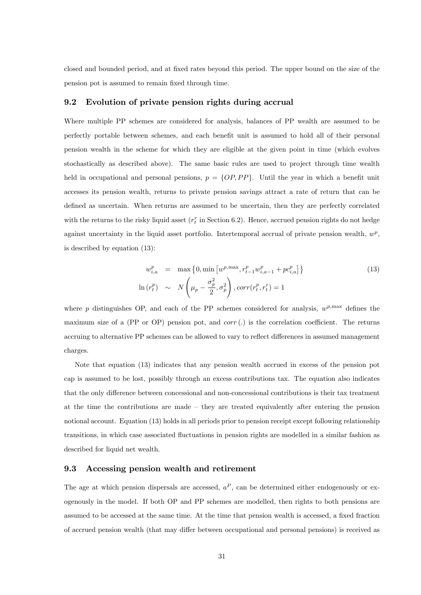closed and bounded period, and at fixed rates beyond this period. The upper bound on the size of the pension pot is assumed to remain Öxed through time.

#### 9.2 Evolution of private pension rights during accrual

Where multiple PP schemes are considered for analysis, balances of PP wealth are assumed to be perfectly portable between schemes, and each benefit unit is assumed to hold all of their personal pension wealth in the scheme for which they are eligible at the given point in time (which evolves stochastically as described above). The same basic rules are used to project through time wealth held in occupational and personal pensions,  $p = \{OP, PP\}$ . Until the year in which a benefit unit accesses its pension wealth, returns to private pension savings attract a rate of return that can be defined as uncertain. When returns are assumed to be uncertain, then they are perfectly correlated with the returns to the risky liquid asset  $(r_t^r$  in Section 6.2). Hence, accrued pension rights do not hedge against uncertainty in the liquid asset portfolio. Intertemporal accrual of private pension wealth,  $w^p$ , is described by equation (13):

$$
w_{i,a}^p = \max\left\{0, \min\left[w^{p,\max}, r_{t-1}^p w_{i,a-1}^p + pc_{i,a}^p\right]\right\}
$$
  

$$
\ln\left(r_t^p\right) \sim N\left(\mu_p - \frac{\sigma_p^2}{2}, \sigma_p^2\right), corr(r_t^p, r_t^r) = 1
$$
 (13)

where p distinguishes OP, and each of the PP schemes considered for analysis,  $w^{p, \text{max}}$  defines the maximum size of a (PP or OP) pension pot, and  $corr(.)$  is the correlation coefficient. The returns accruing to alternative PP schemes can be allowed to vary to reflect differences in assumed management charges.

Note that equation (13) indicates that any pension wealth accrued in excess of the pension pot cap is assumed to be lost, possibly through an excess contributions tax. The equation also indicates that the only difference between concessional and non-concessional contributions is their tax treatment at the time the contributions are made  $-$  they are treated equivalently after entering the pension notional account. Equation (13) holds in all periods prior to pension receipt except following relationship transitions, in which case associated fluctuations in pension rights are modelled in a similar fashion as described for liquid net wealth.

#### 9.3 Accessing pension wealth and retirement

The age at which pension dispersals are accessed,  $a^P$ , can be determined either endogenously or exogenously in the model. If both OP and PP schemes are modelled, then rights to both pensions are assumed to be accessed at the same time. At the time that pension wealth is accessed, a fixed fraction of accrued pension wealth (that may differ between occupational and personal pensions) is received as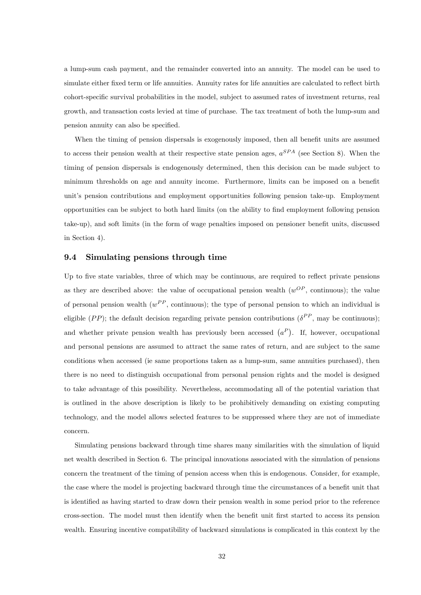a lump-sum cash payment, and the remainder converted into an annuity. The model can be used to simulate either fixed term or life annuities. Annuity rates for life annuities are calculated to reflect birth cohort-specific survival probabilities in the model, subject to assumed rates of investment returns, real growth, and transaction costs levied at time of purchase. The tax treatment of both the lump-sum and pension annuity can also be specified.

When the timing of pension dispersals is exogenously imposed, then all benefit units are assumed to access their pension wealth at their respective state pension ages,  $a^{SPA}$  (see Section 8). When the timing of pension dispersals is endogenously determined, then this decision can be made subject to minimum thresholds on age and annuity income. Furthermore, limits can be imposed on a benefit unit's pension contributions and employment opportunities following pension take-up. Employment opportunities can be subject to both hard limits (on the ability to Önd employment following pension take-up), and soft limits (in the form of wage penalties imposed on pensioner benefit units, discussed in Section 4).

#### 9.4 Simulating pensions through time

Up to five state variables, three of which may be continuous, are required to reflect private pensions as they are described above: the value of occupational pension wealth  $(w^{OP},$  continuous); the value of personal pension wealth  $(w^{PP}, \text{ continuous})$ ; the type of personal pension to which an individual is eligible  $(PP)$ ; the default decision regarding private pension contributions  $(\delta^{PP}, m$ ay be continuous); and whether private pension wealth has previously been accessed  $(a^P)$ . If, however, occupational and personal pensions are assumed to attract the same rates of return, and are subject to the same conditions when accessed (ie same proportions taken as a lump-sum, same annuities purchased), then there is no need to distinguish occupational from personal pension rights and the model is designed to take advantage of this possibility. Nevertheless, accommodating all of the potential variation that is outlined in the above description is likely to be prohibitively demanding on existing computing technology, and the model allows selected features to be suppressed where they are not of immediate concern.

Simulating pensions backward through time shares many similarities with the simulation of liquid net wealth described in Section 6. The principal innovations associated with the simulation of pensions concern the treatment of the timing of pension access when this is endogenous. Consider, for example, the case where the model is projecting backward through time the circumstances of a benefit unit that is identified as having started to draw down their pension wealth in some period prior to the reference cross-section. The model must then identify when the benefit unit first started to access its pension wealth. Ensuring incentive compatibility of backward simulations is complicated in this context by the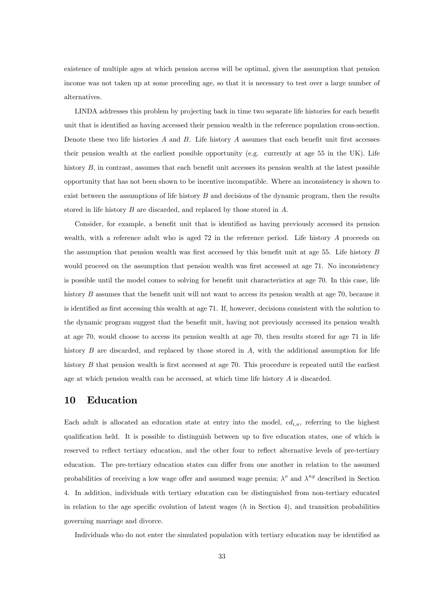existence of multiple ages at which pension access will be optimal, given the assumption that pension income was not taken up at some preceding age, so that it is necessary to test over a large number of alternatives.

LINDA addresses this problem by projecting back in time two separate life histories for each benefit unit that is identified as having accessed their pension wealth in the reference population cross-section. Denote these two life histories  $A$  and  $B$ . Life history  $A$  assumes that each benefit unit first accesses their pension wealth at the earliest possible opportunity (e.g. currently at age 55 in the UK). Life history  $B$ , in contrast, assumes that each benefit unit accesses its pension wealth at the latest possible opportunity that has not been shown to be incentive incompatible. Where an inconsistency is shown to exist between the assumptions of life history  $B$  and decisions of the dynamic program, then the results stored in life history B are discarded, and replaced by those stored in A.

Consider, for example, a benefit unit that is identified as having previously accessed its pension wealth, with a reference adult who is aged 72 in the reference period. Life history A proceeds on the assumption that pension wealth was first accessed by this benefit unit at age 55. Life history  $B$ would proceed on the assumption that pension wealth was first accessed at age 71. No inconsistency is possible until the model comes to solving for benefit unit characteristics at age 70. In this case, life history  $B$  assumes that the benefit unit will not want to access its pension wealth at age 70, because it is identified as first accessing this wealth at age 71. If, however, decisions consistent with the solution to the dynamic program suggest that the benefit unit, having not previously accessed its pension wealth at age 70, would choose to access its pension wealth at age 70, then results stored for age 71 in life history  $B$  are discarded, and replaced by those stored in  $A$ , with the additional assumption for life history  $B$  that pension wealth is first accessed at age 70. This procedure is repeated until the earliest age at which pension wealth can be accessed, at which time life history A is discarded.

## 10 Education

Each adult is allocated an education state at entry into the model,  $ed_{i,a}$ , referring to the highest qualification held. It is possible to distinguish between up to five education states, one of which is reserved to reflect tertiary education, and the other four to reflect alternative levels of pre-tertiary education. The pre-tertiary education states can differ from one another in relation to the assumed probabilities of receiving a low wage offer and assumed wage premia;  $\lambda^o$  and  $\lambda^{ng}$  described in Section 4. In addition, individuals with tertiary education can be distinguished from non-tertiary educated in relation to the age specific evolution of latent wages  $(h \text{ in Section 4})$ , and transition probabilities governing marriage and divorce.

Individuals who do not enter the simulated population with tertiary education may be identified as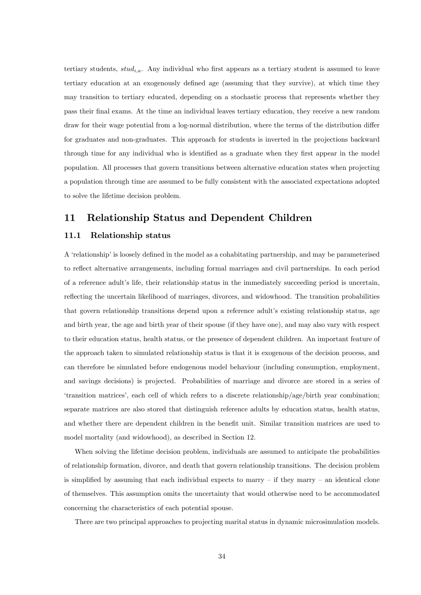tertiary students,  $stud_{i,a}$ . Any individual who first appears as a tertiary student is assumed to leave tertiary education at an exogenously defined age (assuming that they survive), at which time they may transition to tertiary educated, depending on a stochastic process that represents whether they pass their Önal exams. At the time an individual leaves tertiary education, they receive a new random draw for their wage potential from a log-normal distribution, where the terms of the distribution differ for graduates and non-graduates. This approach for students is inverted in the projections backward through time for any individual who is identified as a graduate when they first appear in the model population. All processes that govern transitions between alternative education states when projecting a population through time are assumed to be fully consistent with the associated expectations adopted to solve the lifetime decision problem.

## 11 Relationship Status and Dependent Children

#### 11.1 Relationship status

A 'relationship' is loosely defined in the model as a cohabitating partnership, and may be parameterised to reflect alternative arrangements, including formal marriages and civil partnerships. In each period of a reference adult's life, their relationship status in the immediately succeeding period is uncertain, reflecting the uncertain likelihood of marriages, divorces, and widowhood. The transition probabilities that govern relationship transitions depend upon a reference adult's existing relationship status, age and birth year, the age and birth year of their spouse (if they have one), and may also vary with respect to their education status, health status, or the presence of dependent children. An important feature of the approach taken to simulated relationship status is that it is exogenous of the decision process, and can therefore be simulated before endogenous model behaviour (including consumption, employment, and savings decisions) is projected. Probabilities of marriage and divorce are stored in a series of ëtransition matricesí, each cell of which refers to a discrete relationship/age/birth year combination; separate matrices are also stored that distinguish reference adults by education status, health status, and whether there are dependent children in the benefit unit. Similar transition matrices are used to model mortality (and widowhood), as described in Section 12.

When solving the lifetime decision problem, individuals are assumed to anticipate the probabilities of relationship formation, divorce, and death that govern relationship transitions. The decision problem is simplified by assuming that each individual expects to marry  $-$  if they marry  $-$  an identical clone of themselves. This assumption omits the uncertainty that would otherwise need to be accommodated concerning the characteristics of each potential spouse.

There are two principal approaches to projecting marital status in dynamic microsimulation models.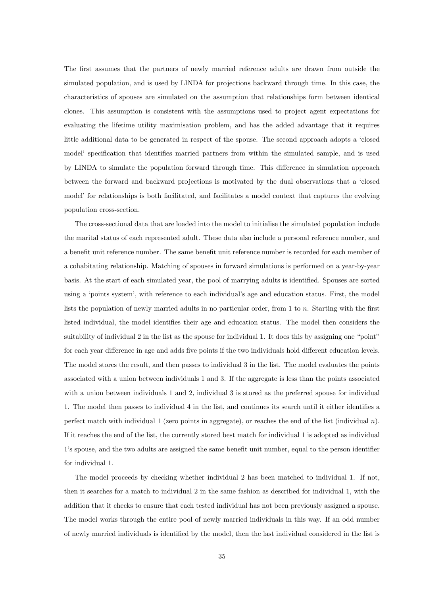The first assumes that the partners of newly married reference adults are drawn from outside the simulated population, and is used by LINDA for projections backward through time. In this case, the characteristics of spouses are simulated on the assumption that relationships form between identical clones. This assumption is consistent with the assumptions used to project agent expectations for evaluating the lifetime utility maximisation problem, and has the added advantage that it requires little additional data to be generated in respect of the spouse. The second approach adopts a ëclosed model' specification that identifies married partners from within the simulated sample, and is used by LINDA to simulate the population forward through time. This difference in simulation approach between the forward and backward projections is motivated by the dual observations that a ëclosed model' for relationships is both facilitated, and facilitates a model context that captures the evolving population cross-section.

The cross-sectional data that are loaded into the model to initialise the simulated population include the marital status of each represented adult. These data also include a personal reference number, and a benefit unit reference number. The same benefit unit reference number is recorded for each member of a cohabitating relationship. Matching of spouses in forward simulations is performed on a year-by-year basis. At the start of each simulated year, the pool of marrying adults is identified. Spouses are sorted using a 'points system', with reference to each individual's age and education status. First, the model lists the population of newly married adults in no particular order, from  $1$  to  $n$ . Starting with the first listed individual, the model identifies their age and education status. The model then considers the suitability of individual 2 in the list as the spouse for individual 1. It does this by assigning one "point" for each year difference in age and adds five points if the two individuals hold different education levels. The model stores the result, and then passes to individual 3 in the list. The model evaluates the points associated with a union between individuals 1 and 3. If the aggregate is less than the points associated with a union between individuals 1 and 2, individual 3 is stored as the preferred spouse for individual 1. The model then passes to individual 4 in the list, and continues its search until it either identifies a perfect match with individual 1 (zero points in aggregate), or reaches the end of the list (individual n). If it reaches the end of the list, the currently stored best match for individual 1 is adopted as individual 1's spouse, and the two adults are assigned the same benefit unit number, equal to the person identifier for individual 1.

The model proceeds by checking whether individual 2 has been matched to individual 1. If not, then it searches for a match to individual 2 in the same fashion as described for individual 1, with the addition that it checks to ensure that each tested individual has not been previously assigned a spouse. The model works through the entire pool of newly married individuals in this way. If an odd number of newly married individuals is identified by the model, then the last individual considered in the list is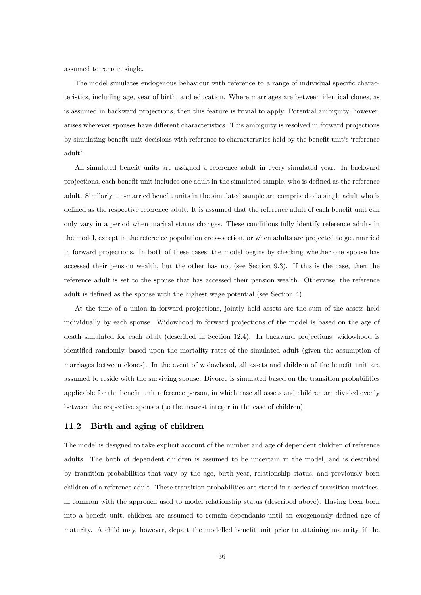assumed to remain single.

The model simulates endogenous behaviour with reference to a range of individual specific characteristics, including age, year of birth, and education. Where marriages are between identical clones, as is assumed in backward projections, then this feature is trivial to apply. Potential ambiguity, however, arises wherever spouses have different characteristics. This ambiguity is resolved in forward projections by simulating benefit unit decisions with reference to characteristics held by the benefit unit's 'reference adult'.

All simulated benefit units are assigned a reference adult in every simulated year. In backward projections, each benefit unit includes one adult in the simulated sample, who is defined as the reference adult. Similarly, un-married benefit units in the simulated sample are comprised of a single adult who is defined as the respective reference adult. It is assumed that the reference adult of each benefit unit can only vary in a period when marital status changes. These conditions fully identify reference adults in the model, except in the reference population cross-section, or when adults are projected to get married in forward projections. In both of these cases, the model begins by checking whether one spouse has accessed their pension wealth, but the other has not (see Section 9.3). If this is the case, then the reference adult is set to the spouse that has accessed their pension wealth. Otherwise, the reference adult is defined as the spouse with the highest wage potential (see Section 4).

At the time of a union in forward projections, jointly held assets are the sum of the assets held individually by each spouse. Widowhood in forward projections of the model is based on the age of death simulated for each adult (described in Section 12.4). In backward projections, widowhood is identified randomly, based upon the mortality rates of the simulated adult (given the assumption of marriages between clones). In the event of widowhood, all assets and children of the benefit unit are assumed to reside with the surviving spouse. Divorce is simulated based on the transition probabilities applicable for the benefit unit reference person, in which case all assets and children are divided evenly between the respective spouses (to the nearest integer in the case of children).

#### 11.2 Birth and aging of children

The model is designed to take explicit account of the number and age of dependent children of reference adults. The birth of dependent children is assumed to be uncertain in the model, and is described by transition probabilities that vary by the age, birth year, relationship status, and previously born children of a reference adult. These transition probabilities are stored in a series of transition matrices, in common with the approach used to model relationship status (described above). Having been born into a benefit unit, children are assumed to remain dependants until an exogenously defined age of maturity. A child may, however, depart the modelled benefit unit prior to attaining maturity, if the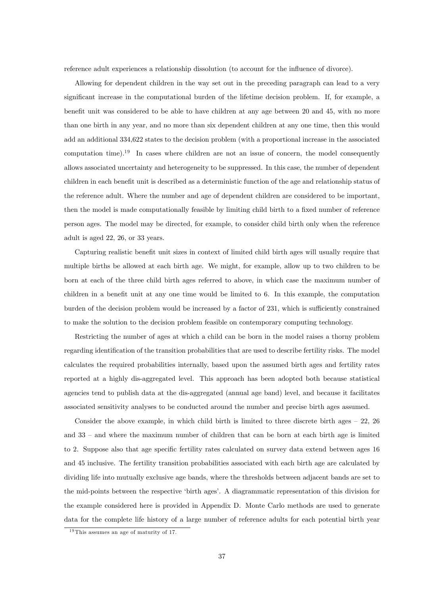reference adult experiences a relationship dissolution (to account for the influence of divorce).

Allowing for dependent children in the way set out in the preceding paragraph can lead to a very significant increase in the computational burden of the lifetime decision problem. If, for example, a benefit unit was considered to be able to have children at any age between 20 and 45, with no more than one birth in any year, and no more than six dependent children at any one time, then this would add an additional 334,622 states to the decision problem (with a proportional increase in the associated computation time).<sup>19</sup> In cases where children are not an issue of concern, the model consequently allows associated uncertainty and heterogeneity to be suppressed. In this case, the number of dependent children in each benefit unit is described as a deterministic function of the age and relationship status of the reference adult. Where the number and age of dependent children are considered to be important, then the model is made computationally feasible by limiting child birth to a fixed number of reference person ages. The model may be directed, for example, to consider child birth only when the reference adult is aged 22, 26, or 33 years.

Capturing realistic benefit unit sizes in context of limited child birth ages will usually require that multiple births be allowed at each birth age. We might, for example, allow up to two children to be born at each of the three child birth ages referred to above, in which case the maximum number of children in a benefit unit at any one time would be limited to 6. In this example, the computation burden of the decision problem would be increased by a factor of 231, which is sufficiently constrained to make the solution to the decision problem feasible on contemporary computing technology.

Restricting the number of ages at which a child can be born in the model raises a thorny problem regarding identification of the transition probabilities that are used to describe fertility risks. The model calculates the required probabilities internally, based upon the assumed birth ages and fertility rates reported at a highly dis-aggregated level. This approach has been adopted both because statistical agencies tend to publish data at the dis-aggregated (annual age band) level, and because it facilitates associated sensitivity analyses to be conducted around the number and precise birth ages assumed.

Consider the above example, in which child birth is limited to three discrete birth ages  $-22$ , 26 and  $33$  – and where the maximum number of children that can be born at each birth age is limited to 2. Suppose also that age specific fertility rates calculated on survey data extend between ages 16 and 45 inclusive. The fertility transition probabilities associated with each birth age are calculated by dividing life into mutually exclusive age bands, where the thresholds between adjacent bands are set to the mid-points between the respective ëbirth agesí. A diagrammatic representation of this division for the example considered here is provided in Appendix D. Monte Carlo methods are used to generate data for the complete life history of a large number of reference adults for each potential birth year

<sup>&</sup>lt;sup>19</sup> This assumes an age of maturity of 17.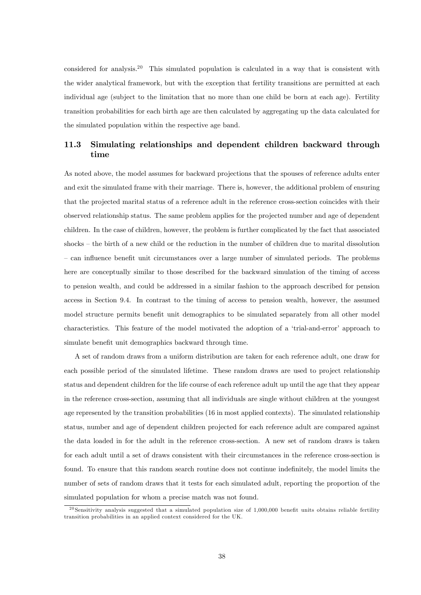considered for analysis.<sup>20</sup> This simulated population is calculated in a way that is consistent with the wider analytical framework, but with the exception that fertility transitions are permitted at each individual age (subject to the limitation that no more than one child be born at each age). Fertility transition probabilities for each birth age are then calculated by aggregating up the data calculated for the simulated population within the respective age band.

## 11.3 Simulating relationships and dependent children backward through time

As noted above, the model assumes for backward projections that the spouses of reference adults enter and exit the simulated frame with their marriage. There is, however, the additional problem of ensuring that the projected marital status of a reference adult in the reference cross-section coincides with their observed relationship status. The same problem applies for the projected number and age of dependent children. In the case of children, however, the problem is further complicated by the fact that associated  $shocks - the birth of a new child or the reduction in the number of children due to marital dissolution$ – can influence benefit unit circumstances over a large number of simulated periods. The problems here are conceptually similar to those described for the backward simulation of the timing of access to pension wealth, and could be addressed in a similar fashion to the approach described for pension access in Section 9.4. In contrast to the timing of access to pension wealth, however, the assumed model structure permits benefit unit demographics to be simulated separately from all other model characteristics. This feature of the model motivated the adoption of a 'trial-and-error' approach to simulate benefit unit demographics backward through time.

A set of random draws from a uniform distribution are taken for each reference adult, one draw for each possible period of the simulated lifetime. These random draws are used to project relationship status and dependent children for the life course of each reference adult up until the age that they appear in the reference cross-section, assuming that all individuals are single without children at the youngest age represented by the transition probabilities (16 in most applied contexts). The simulated relationship status, number and age of dependent children projected for each reference adult are compared against the data loaded in for the adult in the reference cross-section. A new set of random draws is taken for each adult until a set of draws consistent with their circumstances in the reference cross-section is found. To ensure that this random search routine does not continue indefinitely, the model limits the number of sets of random draws that it tests for each simulated adult, reporting the proportion of the simulated population for whom a precise match was not found.

<sup>&</sup>lt;sup>20</sup> Sensitivity analysis suggested that a simulated population size of 1,000,000 benefit units obtains reliable fertility transition probabilities in an applied context considered for the UK.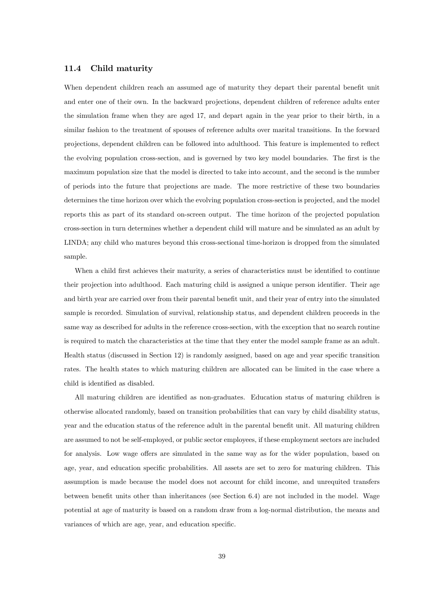#### 11.4 Child maturity

When dependent children reach an assumed age of maturity they depart their parental benefit unit and enter one of their own. In the backward projections, dependent children of reference adults enter the simulation frame when they are aged 17, and depart again in the year prior to their birth, in a similar fashion to the treatment of spouses of reference adults over marital transitions. In the forward projections, dependent children can be followed into adulthood. This feature is implemented to reflect the evolving population cross-section, and is governed by two key model boundaries. The first is the maximum population size that the model is directed to take into account, and the second is the number of periods into the future that projections are made. The more restrictive of these two boundaries determines the time horizon over which the evolving population cross-section is projected, and the model reports this as part of its standard on-screen output. The time horizon of the projected population cross-section in turn determines whether a dependent child will mature and be simulated as an adult by LINDA; any child who matures beyond this cross-sectional time-horizon is dropped from the simulated sample.

When a child first achieves their maturity, a series of characteristics must be identified to continue their projection into adulthood. Each maturing child is assigned a unique person identifier. Their age and birth year are carried over from their parental benefit unit, and their year of entry into the simulated sample is recorded. Simulation of survival, relationship status, and dependent children proceeds in the same way as described for adults in the reference cross-section, with the exception that no search routine is required to match the characteristics at the time that they enter the model sample frame as an adult. Health status (discussed in Section 12) is randomly assigned, based on age and year specific transition rates. The health states to which maturing children are allocated can be limited in the case where a child is identified as disabled.

All maturing children are identified as non-graduates. Education status of maturing children is otherwise allocated randomly, based on transition probabilities that can vary by child disability status, year and the education status of the reference adult in the parental benefit unit. All maturing children are assumed to not be self-employed, or public sector employees, if these employment sectors are included for analysis. Low wage offers are simulated in the same way as for the wider population, based on age, year, and education specific probabilities. All assets are set to zero for maturing children. This assumption is made because the model does not account for child income, and unrequited transfers between benefit units other than inheritances (see Section 6.4) are not included in the model. Wage potential at age of maturity is based on a random draw from a log-normal distribution, the means and variances of which are age, year, and education specific.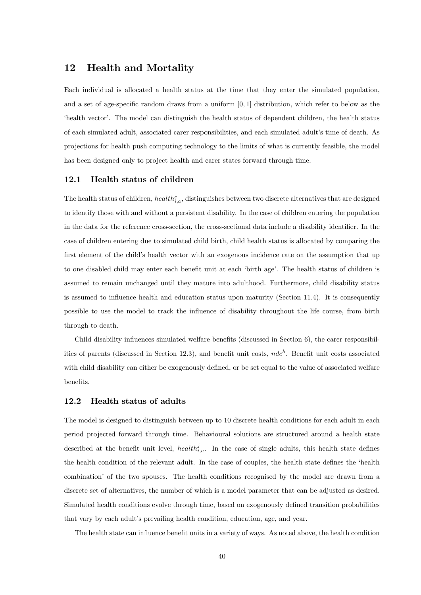## 12 Health and Mortality

Each individual is allocated a health status at the time that they enter the simulated population, and a set of age-specific random draws from a uniform  $[0, 1]$  distribution, which refer to below as the ëhealth vectorí. The model can distinguish the health status of dependent children, the health status of each simulated adult, associated carer responsibilities, and each simulated adult's time of death. As projections for health push computing technology to the limits of what is currently feasible, the model has been designed only to project health and carer states forward through time.

#### 12.1 Health status of children

The health status of children, health $h_{i,a}^c$ , distinguishes between two discrete alternatives that are designed to identify those with and without a persistent disability. In the case of children entering the population in the data for the reference cross-section, the cross-sectional data include a disability identifier. In the case of children entering due to simulated child birth, child health status is allocated by comparing the first element of the child's health vector with an exogenous incidence rate on the assumption that up to one disabled child may enter each benefit unit at each 'birth age'. The health status of children is assumed to remain unchanged until they mature into adulthood. Furthermore, child disability status is assumed to influence health and education status upon maturity (Section 11.4). It is consequently possible to use the model to track the ináuence of disability throughout the life course, from birth through to death.

Child disability influences simulated welfare benefits (discussed in Section  $6$ ), the carer responsibilities of parents (discussed in Section 12.3), and benefit unit costs,  $ndc<sup>h</sup>$ . Benefit unit costs associated with child disability can either be exogenously defined, or be set equal to the value of associated welfare benefits.

#### 12.2 Health status of adults

The model is designed to distinguish between up to 10 discrete health conditions for each adult in each period projected forward through time. Behavioural solutions are structured around a health state described at the benefit unit level, health $i_{i,a}$ . In the case of single adults, this health state defines the health condition of the relevant adult. In the case of couples, the health state defines the 'health combination' of the two spouses. The health conditions recognised by the model are drawn from a discrete set of alternatives, the number of which is a model parameter that can be adjusted as desired. Simulated health conditions evolve through time, based on exogenously defined transition probabilities that vary by each adult's prevailing health condition, education, age, and year.

The health state can influence benefit units in a variety of ways. As noted above, the health condition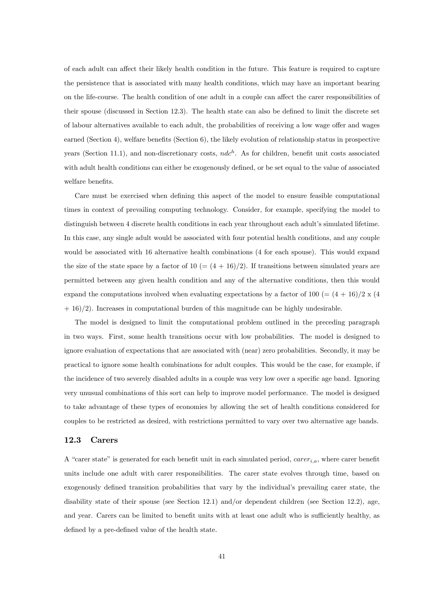of each adult can affect their likely health condition in the future. This feature is required to capture the persistence that is associated with many health conditions, which may have an important bearing on the life-course. The health condition of one adult in a couple can affect the carer responsibilities of their spouse (discussed in Section 12.3). The health state can also be defined to limit the discrete set of labour alternatives available to each adult, the probabilities of receiving a low wage offer and wages earned (Section 4), welfare benefits (Section 6), the likely evolution of relationship status in prospective years (Section 11.1), and non-discretionary costs,  $ndc<sup>h</sup>$ . As for children, benefit unit costs associated with adult health conditions can either be exogenously defined, or be set equal to the value of associated welfare benefits.

Care must be exercised when defining this aspect of the model to ensure feasible computational times in context of prevailing computing technology. Consider, for example, specifying the model to distinguish between 4 discrete health conditions in each year throughout each adult's simulated lifetime. In this case, any single adult would be associated with four potential health conditions, and any couple would be associated with 16 alternative health combinations (4 for each spouse). This would expand the size of the state space by a factor of  $10 = (4 + 16)/2$ . If transitions between simulated years are permitted between any given health condition and any of the alternative conditions, then this would expand the computations involved when evaluating expectations by a factor of 100 (=  $(4+16)/2 \times (4$ )  $+ 16$ /2). Increases in computational burden of this magnitude can be highly undesirable.

The model is designed to limit the computational problem outlined in the preceding paragraph in two ways. First, some health transitions occur with low probabilities. The model is designed to ignore evaluation of expectations that are associated with (near) zero probabilities. Secondly, it may be practical to ignore some health combinations for adult couples. This would be the case, for example, if the incidence of two severely disabled adults in a couple was very low over a specific age band. Ignoring very unusual combinations of this sort can help to improve model performance. The model is designed to take advantage of these types of economies by allowing the set of health conditions considered for couples to be restricted as desired, with restrictions permitted to vary over two alternative age bands.

#### 12.3 Carers

A "carer state" is generated for each benefit unit in each simulated period,  $carer_{i,a}$ , where carer benefit units include one adult with carer responsibilities. The carer state evolves through time, based on exogenously defined transition probabilities that vary by the individual's prevailing carer state, the disability state of their spouse (see Section 12.1) and/or dependent children (see Section 12.2), age, and year. Carers can be limited to benefit units with at least one adult who is sufficiently healthy, as defined by a pre-defined value of the health state.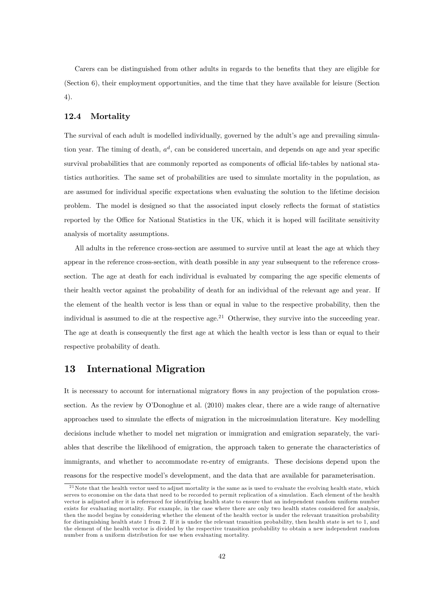Carers can be distinguished from other adults in regards to the benefits that they are eligible for (Section 6), their employment opportunities, and the time that they have available for leisure (Section 4).

#### 12.4 Mortality

The survival of each adult is modelled individually, governed by the adult's age and prevailing simulation year. The timing of death,  $a^d$ , can be considered uncertain, and depends on age and year specific survival probabilities that are commonly reported as components of official life-tables by national statistics authorities. The same set of probabilities are used to simulate mortality in the population, as are assumed for individual specific expectations when evaluating the solution to the lifetime decision problem. The model is designed so that the associated input closely reflects the format of statistics reported by the Office for National Statistics in the UK, which it is hoped will facilitate sensitivity analysis of mortality assumptions.

All adults in the reference cross-section are assumed to survive until at least the age at which they appear in the reference cross-section, with death possible in any year subsequent to the reference crosssection. The age at death for each individual is evaluated by comparing the age specific elements of their health vector against the probability of death for an individual of the relevant age and year. If the element of the health vector is less than or equal in value to the respective probability, then the individual is assumed to die at the respective age.<sup>21</sup> Otherwise, they survive into the succeeding year. The age at death is consequently the first age at which the health vector is less than or equal to their respective probability of death.

## 13 International Migration

It is necessary to account for international migratory flows in any projection of the population crosssection. As the review by O'Donoghue et al. (2010) makes clear, there are a wide range of alternative approaches used to simulate the effects of migration in the microsimulation literature. Key modelling decisions include whether to model net migration or immigration and emigration separately, the variables that describe the likelihood of emigration, the approach taken to generate the characteristics of immigrants, and whether to accommodate re-entry of emigrants. These decisions depend upon the reasons for the respective model's development, and the data that are available for parameterisation.

 $21$ Note that the health vector used to adjust mortality is the same as is used to evaluate the evolving health state, which serves to economise on the data that need to be recorded to permit replication of a simulation. Each element of the health vector is adjusted after it is referenced for identifying health state to ensure that an independent random uniform number exists for evaluating mortality. For example, in the case where there are only two health states considered for analysis, then the model begins by considering whether the element of the health vector is under the relevant transition probability for distinguishing health state 1 from 2. If it is under the relevant transition probability, then health state is set to 1, and the element of the health vector is divided by the respective transition probability to obtain a new independent random number from a uniform distribution for use when evaluating mortality.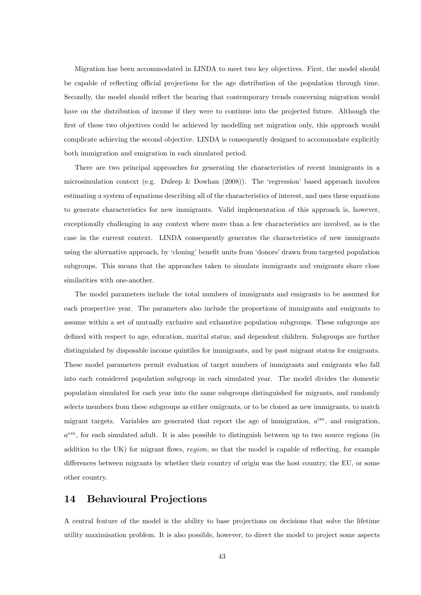Migration has been accommodated in LINDA to meet two key objectives. First, the model should be capable of reflecting official projections for the age distribution of the population through time. Secondly, the model should reflect the bearing that contemporary trends concerning migration would have on the distribution of income if they were to continue into the projected future. Although the first of these two objectives could be achieved by modelling net migration only, this approach would complicate achieving the second objective. LINDA is consequently designed to accommodate explicitly both immigration and emigration in each simulated period.

There are two principal approaches for generating the characteristics of recent immigrants in a microsimulation context (e.g. Duleep & Dowhan  $(2008)$ ). The 'regression' based approach involves estimating a system of equations describing all of the characteristics of interest, and uses these equations to generate characteristics for new immigrants. Valid implementation of this approach is, however, exceptionally challenging in any context where more than a few characteristics are involved, as is the case in the current context. LINDA consequently generates the characteristics of new immigrants using the alternative approach, by 'cloning' benefit units from 'donors' drawn from targeted population subgroups. This means that the approaches taken to simulate immigrants and emigrants share close similarities with one-another.

The model parameters include the total numbers of immigrants and emigrants to be assumed for each prospective year. The parameters also include the proportions of immigrants and emigrants to assume within a set of mutually exclusive and exhaustive population subgroups. These subgroups are defined with respect to age, education, marital status, and dependent children. Subgroups are further distinguished by disposable income quintiles for immigrants, and by past migrant status for emigrants. These model parameters permit evaluation of target numbers of immigrants and emigrants who fall into each considered population subgroup in each simulated year. The model divides the domestic population simulated for each year into the same subgroups distinguished for migrants, and randomly selects members from these subgroups as either emigrants, or to be cloned as new immigrants, to match migrant targets. Variables are generated that report the age of immigration,  $a^{im}$ , and emigration,  $a<sup>em</sup>$ , for each simulated adult. It is also possible to distinguish between up to two source regions (in addition to the UK) for migrant flows, region, so that the model is capable of reflecting, for example differences between migrants by whether their country of origin was the host country, the EU, or some other country.

## 14 Behavioural Projections

A central feature of the model is the ability to base projections on decisions that solve the lifetime utility maximisation problem. It is also possible, however, to direct the model to project some aspects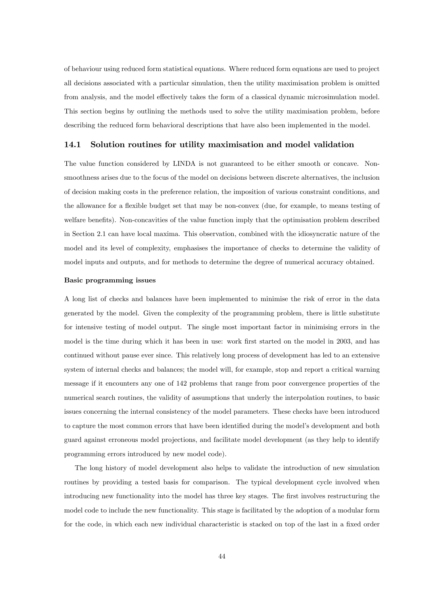of behaviour using reduced form statistical equations. Where reduced form equations are used to project all decisions associated with a particular simulation, then the utility maximisation problem is omitted from analysis, and the model effectively takes the form of a classical dynamic microsimulation model. This section begins by outlining the methods used to solve the utility maximisation problem, before describing the reduced form behavioral descriptions that have also been implemented in the model.

#### 14.1 Solution routines for utility maximisation and model validation

The value function considered by LINDA is not guaranteed to be either smooth or concave. Nonsmoothness arises due to the focus of the model on decisions between discrete alternatives, the inclusion of decision making costs in the preference relation, the imposition of various constraint conditions, and the allowance for a flexible budget set that may be non-convex (due, for example, to means testing of welfare benefits). Non-concavities of the value function imply that the optimisation problem described in Section 2.1 can have local maxima. This observation, combined with the idiosyncratic nature of the model and its level of complexity, emphasises the importance of checks to determine the validity of model inputs and outputs, and for methods to determine the degree of numerical accuracy obtained.

#### Basic programming issues

A long list of checks and balances have been implemented to minimise the risk of error in the data generated by the model. Given the complexity of the programming problem, there is little substitute for intensive testing of model output. The single most important factor in minimising errors in the model is the time during which it has been in use: work first started on the model in 2003, and has continued without pause ever since. This relatively long process of development has led to an extensive system of internal checks and balances; the model will, for example, stop and report a critical warning message if it encounters any one of 142 problems that range from poor convergence properties of the numerical search routines, the validity of assumptions that underly the interpolation routines, to basic issues concerning the internal consistency of the model parameters. These checks have been introduced to capture the most common errors that have been identified during the model's development and both guard against erroneous model projections, and facilitate model development (as they help to identify programming errors introduced by new model code).

The long history of model development also helps to validate the introduction of new simulation routines by providing a tested basis for comparison. The typical development cycle involved when introducing new functionality into the model has three key stages. The first involves restructuring the model code to include the new functionality. This stage is facilitated by the adoption of a modular form for the code, in which each new individual characteristic is stacked on top of the last in a fixed order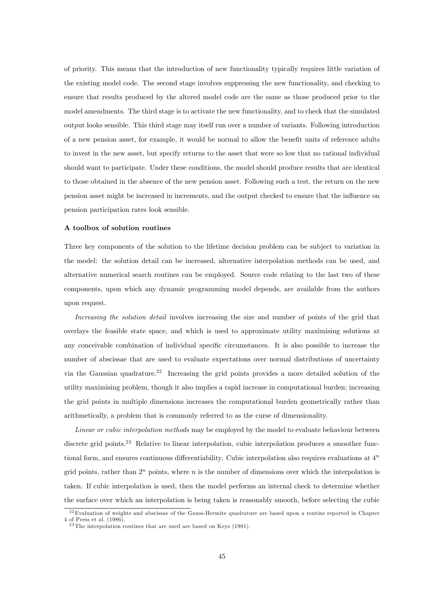of priority. This means that the introduction of new functionality typically requires little variation of the existing model code. The second stage involves suppressing the new functionality, and checking to ensure that results produced by the altered model code are the same as those produced prior to the model amendments. The third stage is to activate the new functionality, and to check that the simulated output looks sensible. This third stage may itself run over a number of variants. Following introduction of a new pension asset, for example, it would be normal to allow the benefit units of reference adults to invest in the new asset, but specify returns to the asset that were so low that no rational individual should want to participate. Under these conditions, the model should produce results that are identical to those obtained in the absence of the new pension asset. Following such a test, the return on the new pension asset might be increased in increments, and the output checked to ensure that the ináuence on pension participation rates look sensible.

#### A toolbox of solution routines

Three key components of the solution to the lifetime decision problem can be subject to variation in the model: the solution detail can be increased, alternative interpolation methods can be used, and alternative numerical search routines can be employed. Source code relating to the last two of these components, upon which any dynamic programming model depends, are available from the authors upon request.

Increasing the solution detail involves increasing the size and number of points of the grid that overlays the feasible state space, and which is used to approximate utility maximising solutions at any conceivable combination of individual specific circumstances. It is also possible to increase the number of abscissae that are used to evaluate expectations over normal distributions of uncertainty via the Gaussian quadrature.<sup>22</sup> Increasing the grid points provides a more detailed solution of the utility maximising problem, though it also implies a rapid increase in computational burden; increasing the grid points in multiple dimensions increases the computational burden geometrically rather than arithmetically, a problem that is commonly referred to as the curse of dimensionality.

Linear or cubic interpolation methods may be employed by the model to evaluate behaviour between discrete grid points.<sup>23</sup> Relative to linear interpolation, cubic interpolation produces a smoother functional form, and ensures continuous differentiability. Cubic interpolation also requires evaluations at  $4<sup>n</sup>$ grid points, rather than  $2^n$  points, where n is the number of dimensions over which the interpolation is taken. If cubic interpolation is used, then the model performs an internal check to determine whether the surface over which an interpolation is being taken is reasonably smooth, before selecting the cubic

 $22$ Evaluation of weights and abscissae of the Gauss-Hermite quadrature are based upon a routine reported in Chapter 4 of Press et al. (1986).

 $23$  The interpolation routines that are used are based on Keys (1981).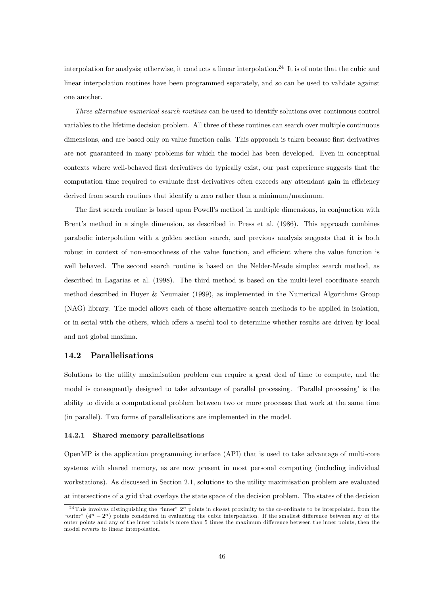interpolation for analysis; otherwise, it conducts a linear interpolation.<sup>24</sup> It is of note that the cubic and linear interpolation routines have been programmed separately, and so can be used to validate against one another.

Three alternative numerical search routines can be used to identify solutions over continuous control variables to the lifetime decision problem. All three of these routines can search over multiple continuous dimensions, and are based only on value function calls. This approach is taken because first derivatives are not guaranteed in many problems for which the model has been developed. Even in conceptual contexts where well-behaved Örst derivatives do typically exist, our past experience suggests that the computation time required to evaluate first derivatives often exceeds any attendant gain in efficiency derived from search routines that identify a zero rather than a minimum/maximum.

The first search routine is based upon Powell's method in multiple dimensions, in conjunction with Brent's method in a single dimension, as described in Press et al. (1986). This approach combines parabolic interpolation with a golden section search, and previous analysis suggests that it is both robust in context of non-smoothness of the value function, and efficient where the value function is well behaved. The second search routine is based on the Nelder-Meade simplex search method, as described in Lagarias et al. (1998). The third method is based on the multi-level coordinate search method described in Huyer & Neumaier (1999), as implemented in the Numerical Algorithms Group (NAG) library. The model allows each of these alternative search methods to be applied in isolation, or in serial with the others, which offers a useful tool to determine whether results are driven by local and not global maxima.

#### 14.2 Parallelisations

Solutions to the utility maximisation problem can require a great deal of time to compute, and the model is consequently designed to take advantage of parallel processing. 'Parallel processing' is the ability to divide a computational problem between two or more processes that work at the same time (in parallel). Two forms of parallelisations are implemented in the model.

#### 14.2.1 Shared memory parallelisations

OpenMP is the application programming interface (API) that is used to take advantage of multi-core systems with shared memory, as are now present in most personal computing (including individual workstations). As discussed in Section 2.1, solutions to the utility maximisation problem are evaluated at intersections of a grid that overlays the state space of the decision problem. The states of the decision

<sup>&</sup>lt;sup>24</sup>This involves distinguishing the "inner"  $2^n$  points in closest proximity to the co-ordinate to be interpolated, from the "outer"  $(4^n - 2^n)$  points considered in evaluating the cubic interpolation. If the smallest difference between any of the outer points and any of the inner points is more than 5 times the maximum difference between the inner points, then the model reverts to linear interpolation.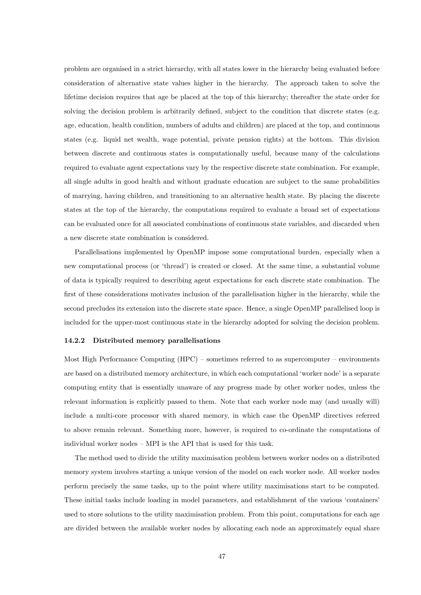problem are organised in a strict hierarchy, with all states lower in the hierarchy being evaluated before consideration of alternative state values higher in the hierarchy. The approach taken to solve the lifetime decision requires that age be placed at the top of this hierarchy; thereafter the state order for solving the decision problem is arbitrarily defined, subject to the condition that discrete states (e.g. age, education, health condition, numbers of adults and children) are placed at the top, and continuous states (e.g. liquid net wealth, wage potential, private pension rights) at the bottom. This division between discrete and continuous states is computationally useful, because many of the calculations required to evaluate agent expectations vary by the respective discrete state combination. For example, all single adults in good health and without graduate education are subject to the same probabilities of marrying, having children, and transitioning to an alternative health state. By placing the discrete states at the top of the hierarchy, the computations required to evaluate a broad set of expectations can be evaluated once for all associated combinations of continuous state variables, and discarded when a new discrete state combination is considered.

Parallelisations implemented by OpenMP impose some computational burden, especially when a new computational process (or 'thread') is created or closed. At the same time, a substantial volume of data is typically required to describing agent expectations for each discrete state combination. The first of these considerations motivates inclusion of the parallelisation higher in the hierarchy, while the second precludes its extension into the discrete state space. Hence, a single OpenMP parallelised loop is included for the upper-most continuous state in the hierarchy adopted for solving the decision problem.

#### 14.2.2 Distributed memory parallelisations

Most High Performance Computing  $(HPC)$  – sometimes referred to as supercomputer – environments are based on a distributed memory architecture, in which each computational 'worker node' is a separate computing entity that is essentially unaware of any progress made by other worker nodes, unless the relevant information is explicitly passed to them. Note that each worker node may (and usually will) include a multi-core processor with shared memory, in which case the OpenMP directives referred to above remain relevant. Something more, however, is required to co-ordinate the computations of individual worker nodes  $-$  MPI is the API that is used for this task.

The method used to divide the utility maximisation problem between worker nodes on a distributed memory system involves starting a unique version of the model on each worker node. All worker nodes perform precisely the same tasks, up to the point where utility maximisations start to be computed. These initial tasks include loading in model parameters, and establishment of the various 'containers' used to store solutions to the utility maximisation problem. From this point, computations for each age are divided between the available worker nodes by allocating each node an approximately equal share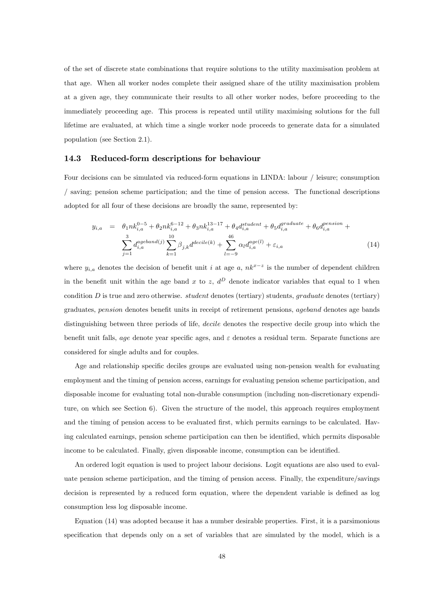of the set of discrete state combinations that require solutions to the utility maximisation problem at that age. When all worker nodes complete their assigned share of the utility maximisation problem at a given age, they communicate their results to all other worker nodes, before proceeding to the immediately proceeding age. This process is repeated until utility maximising solutions for the full lifetime are evaluated, at which time a single worker node proceeds to generate data for a simulated population (see Section 2.1).

#### 14.3 Reduced-form descriptions for behaviour

Four decisions can be simulated via reduced-form equations in LINDA: labour / leisure; consumption / saving; pension scheme participation; and the time of pension access. The functional descriptions adopted for all four of these decisions are broadly the same, represented by:

$$
y_{i,a} = \theta_1 n k_{i,a}^{0-5} + \theta_2 n k_{i,a}^{6-12} + \theta_3 n k_{i,a}^{13-17} + \theta_4 d_{i,a}^{student} + \theta_5 d_{i,a}^{gradient} + \theta_6 d_{i,a}^{pension} + \sum_{j=1}^3 d_{i,a}^{ageband(j)} \sum_{k=1}^{10} \beta_{j,k} d^{decile(k)} + \sum_{l=-9}^{46} \alpha_l d_{i,a}^{age(l)} + \varepsilon_{i,a}
$$
 (14)

where  $y_{i,a}$  denotes the decision of benefit unit i at age a,  $nk^{x-z}$  is the number of dependent children in the benefit unit within the age band x to z,  $d^D$  denote indicator variables that equal to 1 when condition  $D$  is true and zero otherwise. *student* denotes (tertiary) students, graduate denotes (tertiary) graduates, pension denotes benefit units in receipt of retirement pensions, ageband denotes age bands distinguishing between three periods of life, *decile* denotes the respective decile group into which the benefit unit falls, age denote year specific ages, and  $\varepsilon$  denotes a residual term. Separate functions are considered for single adults and for couples.

Age and relationship specific deciles groups are evaluated using non-pension wealth for evaluating employment and the timing of pension access, earnings for evaluating pension scheme participation, and disposable income for evaluating total non-durable consumption (including non-discretionary expenditure, on which see Section 6). Given the structure of the model, this approach requires employment and the timing of pension access to be evaluated first, which permits earnings to be calculated. Having calculated earnings, pension scheme participation can then be identified, which permits disposable income to be calculated. Finally, given disposable income, consumption can be identified.

An ordered logit equation is used to project labour decisions. Logit equations are also used to evaluate pension scheme participation, and the timing of pension access. Finally, the expenditure/savings decision is represented by a reduced form equation, where the dependent variable is defined as log consumption less log disposable income.

Equation (14) was adopted because it has a number desirable properties. First, it is a parsimonious specification that depends only on a set of variables that are simulated by the model, which is a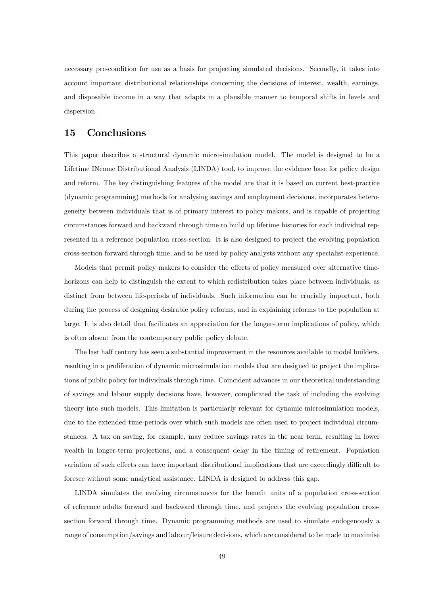necessary pre-condition for use as a basis for projecting simulated decisions. Secondly, it takes into account important distributional relationships concerning the decisions of interest, wealth, earnings, and disposable income in a way that adapts in a plausible manner to temporal shifts in levels and dispersion.

## 15 Conclusions

This paper describes a structural dynamic microsimulation model. The model is designed to be a Lifetime INcome Distributional Analysis (LINDA) tool, to improve the evidence base for policy design and reform. The key distinguishing features of the model are that it is based on current best-practice (dynamic programming) methods for analysing savings and employment decisions, incorporates heterogeneity between individuals that is of primary interest to policy makers, and is capable of projecting circumstances forward and backward through time to build up lifetime histories for each individual represented in a reference population cross-section. It is also designed to project the evolving population cross-section forward through time, and to be used by policy analysts without any specialist experience.

Models that permit policy makers to consider the effects of policy measured over alternative timehorizons can help to distinguish the extent to which redistribution takes place between individuals, as distinct from between life-periods of individuals. Such information can be crucially important, both during the process of designing desirable policy reforms, and in explaining reforms to the population at large. It is also detail that facilitates an appreciation for the longer-term implications of policy, which is often absent from the contemporary public policy debate.

The last half century has seen a substantial improvement in the resources available to model builders, resulting in a proliferation of dynamic microsimulation models that are designed to project the implications of public policy for individuals through time. Coincident advances in our theoretical understanding of savings and labour supply decisions have, however, complicated the task of including the evolving theory into such models. This limitation is particularly relevant for dynamic microsimulation models, due to the extended time-periods over which such models are often used to project individual circumstances. A tax on saving, for example, may reduce savings rates in the near term, resulting in lower wealth in longer-term projections, and a consequent delay in the timing of retirement. Population variation of such effects can have important distributional implications that are exceedingly difficult to foresee without some analytical assistance. LINDA is designed to address this gap.

LINDA simulates the evolving circumstances for the benefit units of a population cross-section of reference adults forward and backward through time, and projects the evolving population crosssection forward through time. Dynamic programming methods are used to simulate endogenously a range of consumption/savings and labour/leisure decisions, which are considered to be made to maximise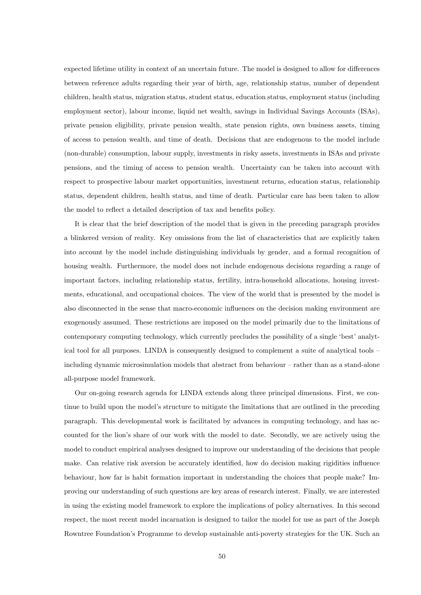expected lifetime utility in context of an uncertain future. The model is designed to allow for differences between reference adults regarding their year of birth, age, relationship status, number of dependent children, health status, migration status, student status, education status, employment status (including employment sector), labour income, liquid net wealth, savings in Individual Savings Accounts (ISAs), private pension eligibility, private pension wealth, state pension rights, own business assets, timing of access to pension wealth, and time of death. Decisions that are endogenous to the model include (non-durable) consumption, labour supply, investments in risky assets, investments in ISAs and private pensions, and the timing of access to pension wealth. Uncertainty can be taken into account with respect to prospective labour market opportunities, investment returns, education status, relationship status, dependent children, health status, and time of death. Particular care has been taken to allow the model to reflect a detailed description of tax and benefits policy.

It is clear that the brief description of the model that is given in the preceding paragraph provides a blinkered version of reality. Key omissions from the list of characteristics that are explicitly taken into account by the model include distinguishing individuals by gender, and a formal recognition of housing wealth. Furthermore, the model does not include endogenous decisions regarding a range of important factors, including relationship status, fertility, intra-household allocations, housing investments, educational, and occupational choices. The view of the world that is presented by the model is also disconnected in the sense that macro-economic influences on the decision making environment are exogenously assumed. These restrictions are imposed on the model primarily due to the limitations of contemporary computing technology, which currently precludes the possibility of a single 'best' analytical tool for all purposes. LINDA is consequently designed to complement a suite of analytical tools  $$ including dynamic microsimulation models that abstract from behaviour – rather than as a stand-alone all-purpose model framework.

Our on-going research agenda for LINDA extends along three principal dimensions. First, we continue to build upon the model's structure to mitigate the limitations that are outlined in the preceding paragraph. This developmental work is facilitated by advances in computing technology, and has accounted for the lion's share of our work with the model to date. Secondly, we are actively using the model to conduct empirical analyses designed to improve our understanding of the decisions that people make. Can relative risk aversion be accurately identified, how do decision making rigidities influence behaviour, how far is habit formation important in understanding the choices that people make? Improving our understanding of such questions are key areas of research interest. Finally, we are interested in using the existing model framework to explore the implications of policy alternatives. In this second respect, the most recent model incarnation is designed to tailor the model for use as part of the Joseph Rowntree Foundation's Programme to develop sustainable anti-poverty strategies for the UK. Such an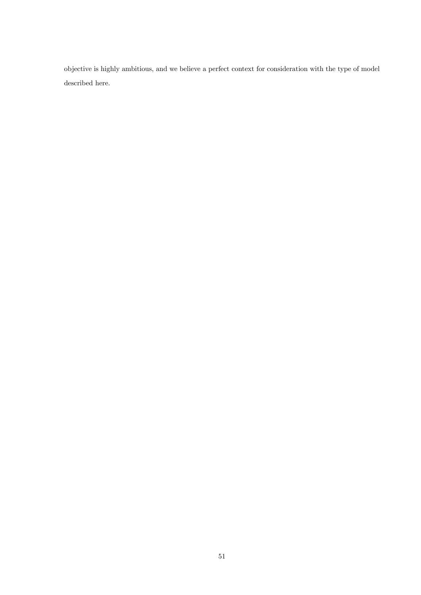objective is highly ambitious, and we believe a perfect context for consideration with the type of model described here.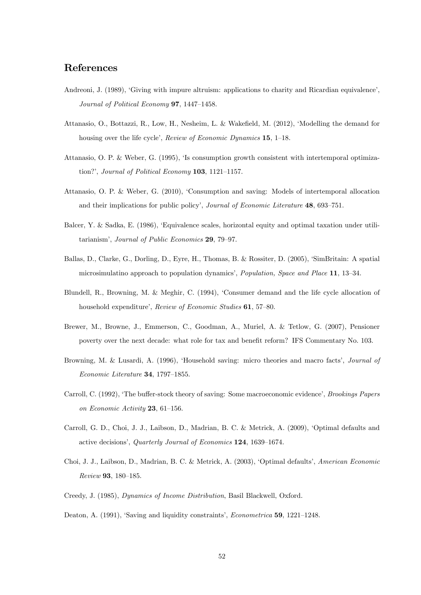## References

- Andreoni, J. (1989), 'Giving with impure altruism: applications to charity and Ricardian equivalence', Journal of Political Economy  $97, 1447-1458$ .
- Attanasio, O., Bottazzi, R., Low, H., Nesheim, L. & Wakefield, M. (2012), 'Modelling the demand for housing over the life cycle', Review of Economic Dynamics  $15$ ,  $1-18$ .
- Attanasio, O. P. & Weber, G. (1995), ëIs consumption growth consistent with intertemporal optimization?', Journal of Political Economy  $103$ ,  $1121-1157$ .
- Attanasio, O. P. & Weber, G. (2010), ëConsumption and saving: Models of intertemporal allocation and their implications for public policy', Journal of Economic Literature  $48, 693-751$ .
- Balcer, Y. & Sadka, E. (1986), ëEquivalence scales, horizontal equity and optimal taxation under utilitarianism', Journal of Public Economics 29, 79-97.
- Ballas, D., Clarke, G., Dorling, D., Eyre, H., Thomas, B. & Rossiter, D. (2005), ëSimBritain: A spatial microsimulatino approach to population dynamics', Population, Space and Place  $11$ , 13–34.
- Blundell, R., Browning, M. & Meghir, C. (1994), ëConsumer demand and the life cycle allocation of household expenditure', Review of Economic Studies 61, 57-80.
- Brewer, M., Browne, J., Emmerson, C., Goodman, A., Muriel, A. & Tetlow, G. (2007), Pensioner poverty over the next decade: what role for tax and benefit reform? IFS Commentary No. 103.
- Browning, M. & Lusardi, A. (1996), 'Household saving: micro theories and macro facts', *Journal of*  $Economic\ Literature$  34, 1797-1855.
- Carroll, C. (1992), 'The buffer-stock theory of saving: Some macroeconomic evidence', Brookings Papers on Economic Activity  $23, 61-156$ .
- Carroll, G. D., Choi, J. J., Laibson, D., Madrian, B. C. & Metrick, A. (2009), ëOptimal defaults and active decisions', Quarterly Journal of Economics 124, 1639-1674.
- Choi, J. J., Laibson, D., Madrian, B. C. & Metrick, A. (2003), ëOptimal defaultsí, American Economic Review 93, 180-185.
- Creedy, J. (1985), Dynamics of Income Distribution, Basil Blackwell, Oxford.
- Deaton, A. (1991), 'Saving and liquidity constraints', *Econometrica* 59, 1221–1248.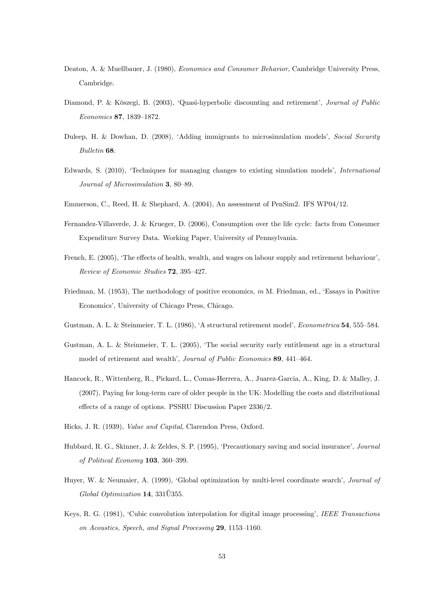- Deaton, A. & Muellbauer, J. (1980), Economics and Consumer Behavior, Cambridge University Press, Cambridge.
- Diamond, P. & Köszegi, B. (2003), 'Quasi-hyperbolic discounting and retirement', Journal of Public Economics 87, 1839-1872.
- Duleep, H. & Dowhan, D. (2008), 'Adding immigrants to microsimulation models', Social Security Bulletin 68.
- Edwards, S. (2010), 'Techniques for managing changes to existing simulation models', International Journal of Microsimulation  $3.80-89$ .
- Emmerson, C., Reed, H. & Shephard, A. (2004), An assessment of PenSim2. IFS WP04/12.
- Fernandez-Villaverde, J. & Krueger, D. (2006), Consumption over the life cycle: facts from Consumer Expenditure Survey Data. Working Paper, University of Pennsylvania.
- French, E. (2005), 'The effects of health, wealth, and wages on labour supply and retirement behaviour', Review of Economic Studies 72, 395-427.
- Friedman, M. (1953), The methodology of positive economics, in M. Friedman, ed., 'Essays in Positive Economics', University of Chicago Press, Chicago.
- Gustman, A. L. & Steinmeier, T. L. (1986), 'A structural retirement model', *Econometrica* 54, 555–584.
- Gustman, A. L. & Steinmeier, T. L. (2005), ëThe social security early entitlement age in a structural model of retirement and wealth', Journal of Public Economics 89, 441-464.
- Hancock, R., Wittenberg, R., Pickard, L., Comas-Herrera, A., Juarez-Garcia, A., King, D. & Malley, J. (2007), Paying for long-term care of older people in the UK: Modelling the costs and distributional effects of a range of options. PSSRU Discussion Paper 2336/2.
- Hicks, J. R. (1939), Value and Capital, Clarendon Press, Oxford.
- Hubbard, R. G., Skinner, J. & Zeldes, S. P. (1995), 'Precautionary saving and social insurance', *Journal* of Political Economy  $103$ ,  $360-399$ .
- Huyer, W. & Neumaier, A. (1999), 'Global optimization by multi-level coordinate search', Journal of  $Global\ Optimization$  14, 331 $\H{U}$ 355.
- Keys, R. G. (1981), 'Cubic convolution interpolation for digital image processing', IEEE Transactions on Acoustics, Speech, and Signal Processing  $29$ , 1153-1160.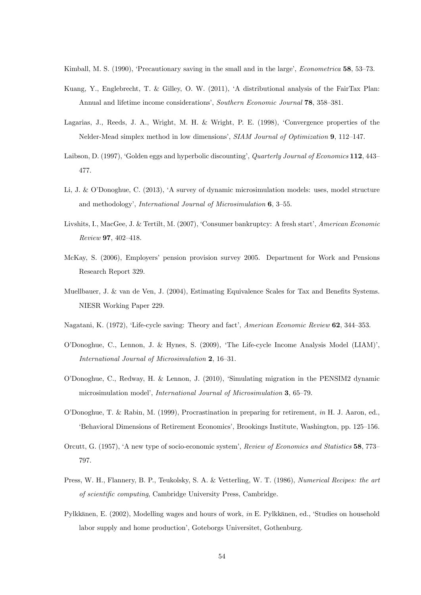Kimball, M. S. (1990), 'Precautionary saving in the small and in the large', *Econometrica* 58, 53–73.

- Kuang, Y., Englebrecht, T. & Gilley, O. W. (2011), ëA distributional analysis of the FairTax Plan: Annual and lifetime income considerations', Southern Economic Journal 78, 358–381.
- Lagarias, J., Reeds, J. A., Wright, M. H. & Wright, P. E. (1998), 'Convergence properties of the Nelder-Mead simplex method in low dimensions',  $SIAM Journal$  of Optimization 9, 112–147.
- Laibson, D. (1997), 'Golden eggs and hyperbolic discounting', Quarterly Journal of Economics 112, 443– 477.
- Li, J. & O'Donoghue, C. (2013), 'A survey of dynamic microsimulation models: uses, model structure and methodology', International Journal of Microsimulation  $6, 3-55$ .
- Livshits, I., MacGee, J. & Tertilt, M. (2007), 'Consumer bankruptcy: A fresh start', American Economic  $Review 97, 402-418.$
- McKay, S. (2006), Employers' pension provision survey 2005. Department for Work and Pensions Research Report 329.
- Muellbauer, J.  $\&$  van de Ven, J. (2004), Estimating Equivalence Scales for Tax and Benefits Systems. NIESR Working Paper 229.
- Nagatani, K. (1972), 'Life-cycle saving: Theory and fact', American Economic Review 62, 344–353.
- O'Donoghue, C., Lennon, J. & Hynes, S. (2009), 'The Life-cycle Income Analysis Model (LIAM)'. International Journal of Microsimulation  $2, 16-31$ .
- OíDonoghue, C., Redway, H. & Lennon, J. (2010), ëSimulating migration in the PENSIM2 dynamic microsimulation model', *International Journal of Microsimulation* 3, 65–79.
- OíDonoghue, T. & Rabin, M. (1999), Procrastination in preparing for retirement, in H. J. Aaron, ed., EBehavioral Dimensions of Retirement Economics', Brookings Institute, Washington, pp. 125–156.
- Orcutt, G. (1957), 'A new type of socio-economic system', Review of Economics and Statistics 58, 773– 797.
- Press, W. H., Flannery, B. P., Teukolsky, S. A. & Vetterling, W. T. (1986), Numerical Recipes: the art of scientific computing, Cambridge University Press, Cambridge.
- Pylkkänen, E. (2002), Modelling wages and hours of work, in E. Pylkkänen, ed., 'Studies on household labor supply and home production', Goteborgs Universitet, Gothenburg.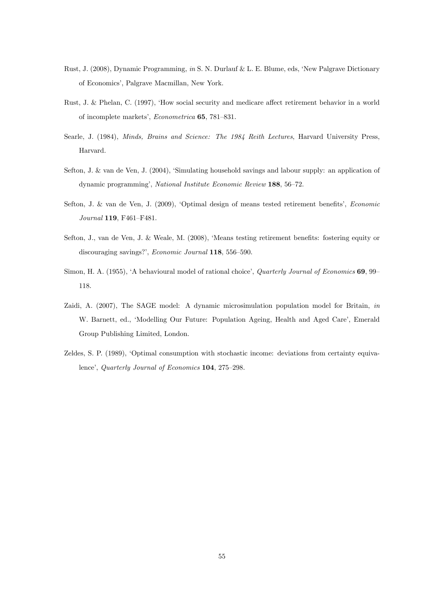- Rust, J. (2008), Dynamic Programming, in S. N. Durlauf & L. E. Blume, eds, 'New Palgrave Dictionary of Economics', Palgrave Macmillan, New York.
- Rust, J. & Phelan, C. (1997), 'How social security and medicare affect retirement behavior in a world of incomplete markets', Econometrica 65, 781-831.
- Searle, J. (1984), *Minds, Brains and Science: The 1984 Reith Lectures*, Harvard University Press, Harvard.
- Sefton, J. & van de Ven, J. (2004), 'Simulating household savings and labour supply: an application of dynamic programming', National Institute Economic Review 188,  $56-72$ .
- Sefton, J. & van de Ven, J. (2009), 'Optimal design of means tested retirement benefits', Economic  $Journal$  119, F461-F481.
- Sefton, J., van de Ven, J. & Weale, M. (2008), 'Means testing retirement benefits: fostering equity or discouraging savings?',  $Economic\ Journal$  118, 556-590.
- Simon, H. A. (1955), 'A behavioural model of rational choice', *Quarterly Journal of Economics* 69, 99 118.
- Zaidi, A. (2007), The SAGE model: A dynamic microsimulation population model for Britain, *in* W. Barnett, ed., 'Modelling Our Future: Population Ageing, Health and Aged Care', Emerald Group Publishing Limited, London.
- Zeldes, S. P. (1989), ëOptimal consumption with stochastic income: deviations from certainty equivalence', Quarterly Journal of Economics 104, 275–298.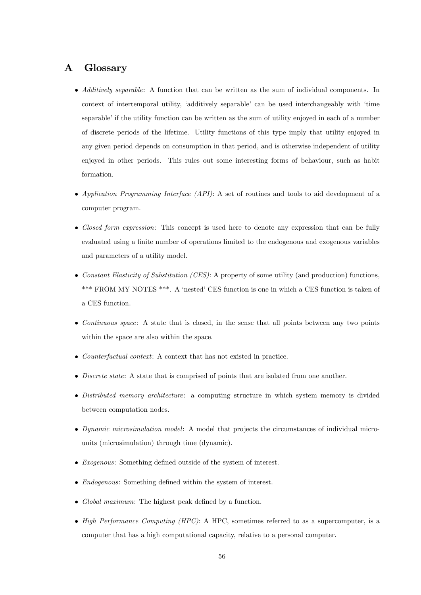## A Glossary

- Additively separable: A function that can be written as the sum of individual components. In context of intertemporal utility, 'additively separable' can be used interchangeably with 'time separable' if the utility function can be written as the sum of utility enjoyed in each of a number of discrete periods of the lifetime. Utility functions of this type imply that utility enjoyed in any given period depends on consumption in that period, and is otherwise independent of utility enjoyed in other periods. This rules out some interesting forms of behaviour, such as habit formation.
- Application Programming Interface (API): A set of routines and tools to aid development of a computer program.
- Closed form expression: This concept is used here to denote any expression that can be fully evaluated using a finite number of operations limited to the endogenous and exogenous variables and parameters of a utility model.
- Constant Elasticity of Substitution  $(CES)$ : A property of some utility (and production) functions, \*\*\* FROM MY NOTES \*\*\*. A 'nested' CES function is one in which a CES function is taken of a CES function.
- Continuous space: A state that is closed, in the sense that all points between any two points within the space are also within the space.
- Counterfactual context: A context that has not existed in practice.
- Discrete state: A state that is comprised of points that are isolated from one another.
- Distributed memory architecture: a computing structure in which system memory is divided between computation nodes.
- Dynamic microsimulation model: A model that projects the circumstances of individual microunits (microsimulation) through time (dynamic).
- $\bullet$  *Exogenous*: Something defined outside of the system of interest.
- $\bullet$  *Endogenous*: Something defined within the system of interest.
- Global maximum: The highest peak defined by a function.
- $\bullet$  High Performance Computing (HPC): A HPC, sometimes referred to as a supercomputer, is a computer that has a high computational capacity, relative to a personal computer.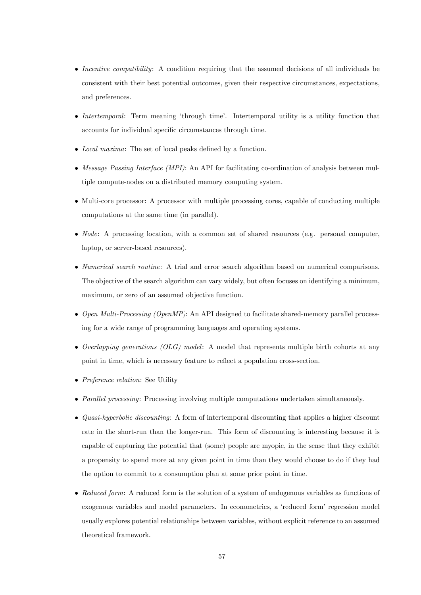- Incentive compatibility: A condition requiring that the assumed decisions of all individuals be consistent with their best potential outcomes, given their respective circumstances, expectations, and preferences.
- Intertemporal: Term meaning 'through time'. Intertemporal utility is a utility function that accounts for individual specific circumstances through time.
- Local maxima: The set of local peaks defined by a function.
- Message Passing Interface (MPI): An API for facilitating co-ordination of analysis between multiple compute-nodes on a distributed memory computing system.
- Multi-core processor: A processor with multiple processing cores, capable of conducting multiple computations at the same time (in parallel).
- *Node*: A processing location, with a common set of shared resources (e.g. personal computer, laptop, or server-based resources).
- Numerical search routine: A trial and error search algorithm based on numerical comparisons. The objective of the search algorithm can vary widely, but often focuses on identifying a minimum, maximum, or zero of an assumed objective function.
- $\bullet$  Open Multi-Processing (OpenMP): An API designed to facilitate shared-memory parallel processing for a wide range of programming languages and operating systems.
- $\bullet$  Overlapping generations (OLG) model: A model that represents multiple birth cohorts at any point in time, which is necessary feature to reflect a population cross-section.
- Preference relation: See Utility
- Parallel processing: Processing involving multiple computations undertaken simultaneously.
- Quasi-hyperbolic discounting: A form of intertemporal discounting that applies a higher discount rate in the short-run than the longer-run. This form of discounting is interesting because it is capable of capturing the potential that (some) people are myopic, in the sense that they exhibit a propensity to spend more at any given point in time than they would choose to do if they had the option to commit to a consumption plan at some prior point in time.
- Reduced form: A reduced form is the solution of a system of endogenous variables as functions of exogenous variables and model parameters. In econometrics, a 'reduced form' regression model usually explores potential relationships between variables, without explicit reference to an assumed theoretical framework.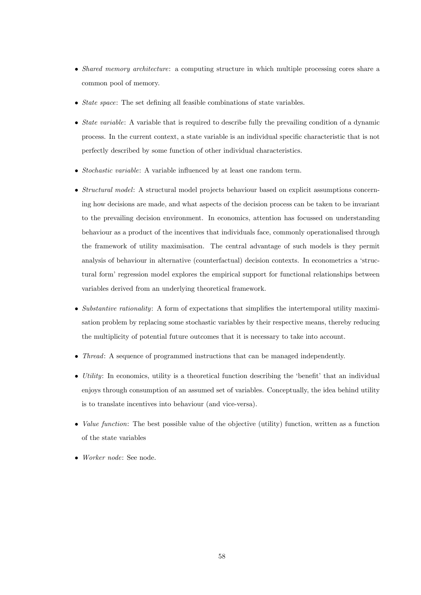- Shared memory architecture: a computing structure in which multiple processing cores share a common pool of memory.
- $\bullet$  *State space:* The set defining all feasible combinations of state variables.
- $\bullet$  *State variable:* A variable that is required to describe fully the prevailing condition of a dynamic process. In the current context, a state variable is an individual specific characteristic that is not perfectly described by some function of other individual characteristics.
- $\bullet$  *Stochastic variable*: A variable influenced by at least one random term.
- Structural model: A structural model projects behaviour based on explicit assumptions concerning how decisions are made, and what aspects of the decision process can be taken to be invariant to the prevailing decision environment. In economics, attention has focussed on understanding behaviour as a product of the incentives that individuals face, commonly operationalised through the framework of utility maximisation. The central advantage of such models is they permit analysis of behaviour in alternative (counterfactual) decision contexts. In econometrics a ëstructural form' regression model explores the empirical support for functional relationships between variables derived from an underlying theoretical framework.
- $\bullet$  Substantive rationality: A form of expectations that simplifies the intertemporal utility maximisation problem by replacing some stochastic variables by their respective means, thereby reducing the multiplicity of potential future outcomes that it is necessary to take into account.
- Thread: A sequence of programmed instructions that can be managed independently.
- $\bullet$  *Utility*: In economics, utility is a theoretical function describing the 'benefit' that an individual enjoys through consumption of an assumed set of variables. Conceptually, the idea behind utility is to translate incentives into behaviour (and vice-versa).
- $\bullet$  *Value function*: The best possible value of the objective (utility) function, written as a function of the state variables
- Worker node: See node.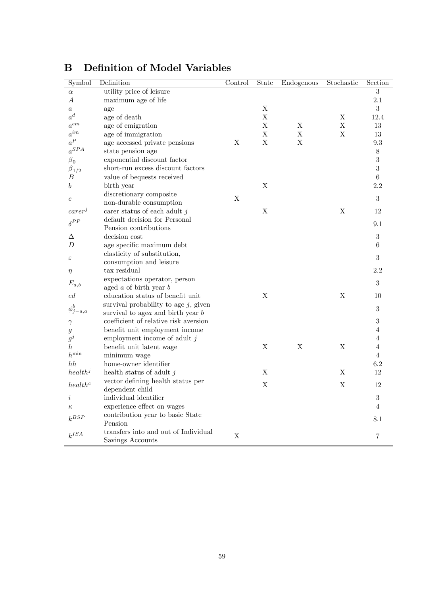| Symbol              | Definition                              | Control     | State                     | Endogenous  | Stochastic  | Section          |
|---------------------|-----------------------------------------|-------------|---------------------------|-------------|-------------|------------------|
| $\alpha$            | utility price of leisure                |             |                           |             |             | 3                |
| А                   | maximum age of life                     |             |                           |             |             | 2.1              |
| $\boldsymbol{a}$    | age                                     |             | $\boldsymbol{\mathrm{X}}$ |             |             | $\boldsymbol{3}$ |
| $a^d$               | age of death                            |             | $\mathbf X$               |             | Χ           | 12.4             |
| $a^{em}$            | age of emigration                       |             | $\mathbf X$               | $\mathbf X$ | $\mathbf X$ | $13\,$           |
| $a^{im}$            | age of immigration                      |             | $\boldsymbol{\mathrm{X}}$ | X           | X           | 13               |
| $a^P$               | age accessed private pensions           | X           | $\mathbf X$               | $\mathbf X$ |             | 9.3              |
| $a^{SPA}$           | state pension age                       |             |                           |             |             | $8\,$            |
| $\beta_0$           | exponential discount factor             |             |                           |             |             | 3                |
| $\beta_{1/2}$       | short-run excess discount factors       |             |                           |             |             | 3                |
| В                   | value of bequests received              |             |                           |             |             | $\,6\,$          |
| b                   | birth year                              |             | $\mathbf X$               |             |             | $2.2\,$          |
|                     | discretionary composite                 | $\mathbf X$ |                           |             |             | 3                |
| $\boldsymbol{c}$    | non-durable consumption                 |             |                           |             |             |                  |
| $carer^j$           | carer status of each adult $j$          |             | $\mathbf X$               |             | X           | 12               |
| $\delta^{PP}$       | default decision for Personal           |             |                           |             |             |                  |
|                     | Pension contributions                   |             |                           |             |             | 9.1              |
| Δ                   | decision cost                           |             |                           |             |             | $\sqrt{3}$       |
| $\boldsymbol{D}$    | age specific maximum debt               |             |                           |             |             | $\,6$            |
|                     | elasticity of substitution,             |             |                           |             |             | 3                |
| ε                   | consumption and leisure                 |             |                           |             |             |                  |
| $\eta$              | tax residual                            |             |                           |             |             | 2.2              |
| $E_{a,b}$           | expectations operator, person           |             |                           |             |             | 3                |
|                     | aged $a$ of birth year $b$              |             |                           |             |             |                  |
| ed                  | education status of benefit unit        |             | $\mathbf X$               |             | X           | 10               |
| $\phi_j^b$          | survival probability to age $j$ , given |             |                           |             |             | $\boldsymbol{3}$ |
| $-a,a$              | survival to age $a$ and birth year $b$  |             |                           |             |             |                  |
| $\gamma$            | coefficient of relative risk aversion   |             |                           |             |             | $\sqrt{3}$       |
| $\mathfrak{g}$      | benefit unit employment income          |             |                           |             |             | 4                |
| $g^j$               | employment income of adult $j$          |             |                           |             |             | 4                |
| $\hbar$             | benefit unit latent wage                |             | $\mathbf X$               | $\mathbf X$ | X           | 4                |
| $h^{\min}$          | minimum wage                            |             |                           |             |             | $\overline{4}$   |
| hh                  | home-owner identifier                   |             |                           |             |             | 6.2              |
| health <sup>j</sup> | health status of adult $j$              |             | $\mathbf X$               |             | X           | 12               |
| health <sup>c</sup> | vector defining health status per       |             | $\mathbf X$               |             | X           | 12               |
|                     | dependent child                         |             |                           |             |             |                  |
| $\imath$            | individual identifier                   |             |                           |             |             | $\sqrt{3}$       |
| $\kappa$            | experience effect on wages              |             |                           |             |             | 4                |
| $k^{BSP}$           | contribution year to basic State        |             |                           |             |             | 8.1              |
|                     | Pension                                 |             |                           |             |             |                  |
| $k^{ISA}$           | transfers into and out of Individual    | X           |                           |             |             | 7                |
|                     | Savings Accounts                        |             |                           |             |             |                  |

## **B** Definition of Model Variables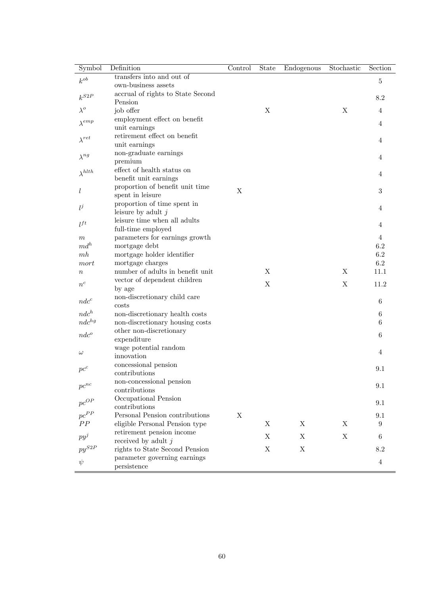| Symbol                              | Definition                                                        | $\overline{\text{Control}}$ | State       | Endogenous  | Stochastic | Section     |
|-------------------------------------|-------------------------------------------------------------------|-----------------------------|-------------|-------------|------------|-------------|
| $k^{ob}$                            | transfers into and out of                                         |                             |             |             |            | $\mathbf 5$ |
|                                     | own-business assets                                               |                             |             |             |            |             |
| $k^{S2P}$                           | accrual of rights to State Second                                 |                             |             |             |            | 8.2         |
| $\lambda^o$                         | Pension                                                           |                             |             |             |            |             |
|                                     | job offer<br>employment effect on benefit                         |                             | Χ           |             | X          | 4           |
| $\lambda^{emp}$                     | unit earnings                                                     |                             |             |             |            | 4           |
|                                     | retirement effect on benefit                                      |                             |             |             |            |             |
| $\lambda^{ret}$                     | unit earnings                                                     |                             |             |             |            | 4           |
| $\lambda^{ng}$                      | non-graduate earnings                                             |                             |             |             |            |             |
|                                     | premium                                                           |                             |             |             |            | 4           |
| $\lambda^{hlth}$                    | effect of health status on                                        |                             |             |             |            | 4           |
|                                     | benefit unit earnings                                             |                             |             |             |            |             |
| l                                   | proportion of benefit unit time                                   | X                           |             |             |            | 3           |
|                                     | spent in leisure                                                  |                             |             |             |            |             |
| $l^j$                               | proportion of time spent in<br>leisure by adult $j$               |                             |             |             |            | 4           |
|                                     | leisure time when all adults                                      |                             |             |             |            |             |
| $l^{ft}$                            | full-time employed                                                |                             |             |             |            | 4           |
| m                                   | parameters for earnings growth                                    |                             |             |             |            | 4           |
| $md^h$                              | mortgage debt                                                     |                             |             |             |            | 6.2         |
| m h                                 | mortgage holder identifier                                        |                             |             |             |            | 6.2         |
| mort                                | mortgage charges                                                  |                             |             |             |            | 6.2         |
| $\, n$                              | number of adults in benefit unit                                  |                             | X           |             | X          | 11.1        |
| $n^{c}$                             | vector of dependent children                                      |                             | X           |             | X          | 11.2        |
|                                     | by age                                                            |                             |             |             |            |             |
| $ndc^c$                             | non-discretionary child care                                      |                             |             |             |            | 6           |
| $ndc^h$                             | costs                                                             |                             |             |             |            |             |
| $ndc^{hg}$                          | non-discretionary health costs<br>non-discretionary housing costs |                             |             |             |            | 6<br>6      |
|                                     | other non-discretionary                                           |                             |             |             |            |             |
| $ndc^o$                             | expenditure                                                       |                             |             |             |            | 6           |
|                                     | wage potential random                                             |                             |             |             |            |             |
| $\omega$                            | innovation                                                        |                             |             |             |            | 4           |
| $pc^c$                              | concessional pension                                              |                             |             |             |            | 9.1         |
|                                     | contributions                                                     |                             |             |             |            |             |
| $\boldsymbol{p}\boldsymbol{c}^{nc}$ | non-concessional pension                                          |                             |             |             |            | 9.1         |
|                                     | contributions                                                     |                             |             |             |            |             |
| $pc^{OP}$                           | Occupational Pension                                              |                             |             |             |            | $9.1\,$     |
| $pc^{PP}$                           | contributions<br>Personal Pension contributions                   | $\mathbf X$                 |             |             |            | $9.1\,$     |
| PP                                  | eligible Personal Pension type                                    |                             | X           | X           | X          | 9           |
|                                     | retirement pension income                                         |                             |             |             |            |             |
| $py^j$                              | received by adult $j$                                             |                             | $\mathbf X$ | X           | X          | 6           |
| $py^{S2F}$                          | rights to State Second Pension                                    |                             | $\mathbf X$ | $\mathbf X$ |            | 8.2         |
|                                     | parameter governing earnings                                      |                             |             |             |            |             |
| $\psi$                              | persistence                                                       |                             |             |             |            | $\,4\,$     |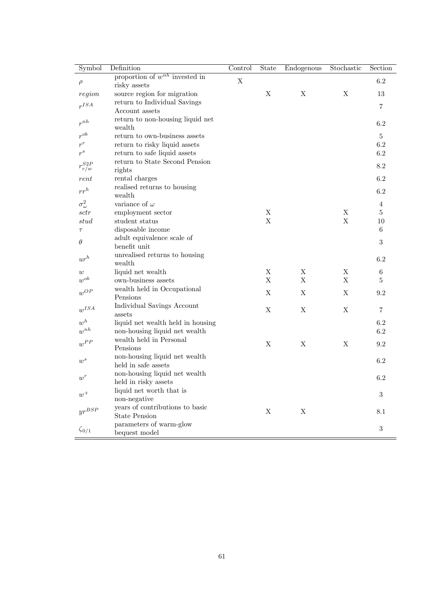| Symbol                       | Definition                                         | Control                   | State            | Endogenous                | Stochastic       | Section        |
|------------------------------|----------------------------------------------------|---------------------------|------------------|---------------------------|------------------|----------------|
| $\rho$                       | proportion of $w^{nh}$ invested in<br>risky assets | $\boldsymbol{\mathrm{X}}$ |                  |                           |                  | 6.2            |
| region                       | source region for migration                        |                           | X                | X                         | X                | 13             |
| r <sup>ISA</sup>             | return to Individual Savings                       |                           |                  |                           |                  | $\overline{7}$ |
|                              | Account assets                                     |                           |                  |                           |                  |                |
| $r^{nh}$                     | return to non-housing liquid net<br>wealth         |                           |                  |                           |                  | 6.2            |
| $r^{ob}$                     | return to own-business assets                      |                           |                  |                           |                  | 5              |
| $r^r$                        | return to risky liquid assets                      |                           |                  |                           |                  | 6.2            |
| $r^{s}$                      | return to safe liquid assets                       |                           |                  |                           |                  | $6.2\,$        |
|                              | return to State Second Pension                     |                           |                  |                           |                  | 8.2            |
| $r_{r/w}^{S2P}$              | rights                                             |                           |                  |                           |                  |                |
| rent                         | rental charges                                     |                           |                  |                           |                  | 6.2            |
| $rr^h$                       | realised returns to housing                        |                           |                  |                           |                  | $6.2\,$        |
|                              | wealth                                             |                           |                  |                           |                  |                |
| $\sigma^2_\omega$            | variance of $\omega$                               |                           |                  |                           |                  | $\overline{4}$ |
| sctr                         | employment sector                                  |                           | $\mathbf X$      |                           | X                | 5              |
| stud                         | student status                                     |                           | X                |                           | $\mathbf X$      | 10             |
| $\tau$                       | disposable income                                  |                           |                  |                           |                  | 6              |
| $\theta$                     | adult equivalence scale of                         |                           |                  |                           |                  | 3              |
|                              | benefit unit                                       |                           |                  |                           |                  |                |
| $\mathbf{u}r^h$              | unrealised returns to housing                      |                           |                  |                           |                  | $6.2\,$        |
|                              | wealth                                             |                           |                  |                           |                  |                |
| w<br>$w^{ob}$                | liquid net wealth                                  |                           | X<br>$\mathbf X$ | Χ<br>$\mathbf X$          | X<br>$\mathbf X$ | 6              |
|                              | own-business assets                                |                           |                  |                           |                  | $\bf 5$        |
| $\boldsymbol{w}^{OP}$        | wealth held in Occupational<br>Pensions            |                           | X                | $\boldsymbol{\mathrm{X}}$ | X                | 9.2            |
| $w^{ISA}$                    | Individual Savings Account                         |                           | X                | X                         | X                | $\overline{7}$ |
|                              | assets                                             |                           |                  |                           |                  |                |
| $w^h$                        | liquid net wealth held in housing                  |                           |                  |                           |                  | 6.2            |
| $w^{nh}$                     | non-housing liquid net wealth                      |                           |                  |                           |                  | 6.2            |
| $w^{PP}$                     | wealth held in Personal                            |                           | X                | X                         | X                | 9.2            |
|                              | Pensions                                           |                           |                  |                           |                  |                |
| $\boldsymbol{w}^s$           | non-housing liquid net wealth                      |                           |                  |                           |                  | 6.2            |
|                              | held in safe assets                                |                           |                  |                           |                  |                |
| $\boldsymbol{w}^r$           | non-housing liquid net wealth                      |                           |                  |                           |                  | 6.2            |
|                              | held in risky assets                               |                           |                  |                           |                  |                |
| $w^+$                        | liquid net worth that is                           |                           |                  |                           |                  | $\sqrt{3}$     |
|                              | non-negative                                       |                           |                  |                           |                  |                |
| $\mathit{yr}^{\mathit{BSP}}$ | years of contributions to basic                    |                           | X                | X                         |                  | 8.1            |
|                              | <b>State Pension</b>                               |                           |                  |                           |                  |                |
| $\zeta_{0/1}$                | parameters of warm-glow<br>bequest model           |                           |                  |                           |                  | $\sqrt{3}$     |
|                              |                                                    |                           |                  |                           |                  |                |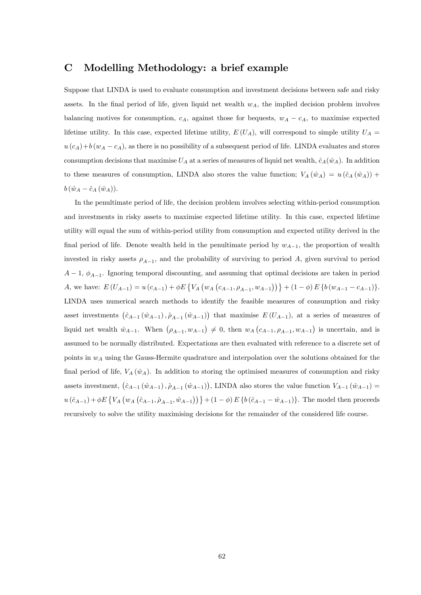## C Modelling Methodology: a brief example

Suppose that LINDA is used to evaluate consumption and investment decisions between safe and risky assets. In the final period of life, given liquid net wealth  $w<sub>A</sub>$ , the implied decision problem involves balancing motives for consumption,  $c_A$ , against those for bequests,  $w_A - c_A$ , to maximise expected lifetime utility. In this case, expected lifetime utility,  $E(U_A)$ , will correspond to simple utility  $U_A =$  $u(c_A)+b(w_A-c_A)$ , as there is no possibility of a subsequent period of life. LINDA evaluates and stores consumption decisions that maximise  $U_A$  at a series of measures of liquid net wealth,  $\hat{c}_A(\hat{w}_A)$ . In addition to these measures of consumption, LINDA also stores the value function;  $V_A (\hat{w}_A) = u (\hat{c}_A (\hat{w}_A)) +$  $b \left( \hat{w}_A - \hat{c}_A \left( \hat{w}_A\right)\right).$ 

In the penultimate period of life, the decision problem involves selecting within-period consumption and investments in risky assets to maximise expected lifetime utility. In this case, expected lifetime utility will equal the sum of within-period utility from consumption and expected utility derived in the final period of life. Denote wealth held in the penultimate period by  $w_{A-1}$ , the proportion of wealth invested in risky assets  $\rho_{A-1}$ , and the probability of surviving to period A, given survival to period  $A-1, \phi_{A-1}$ . Ignoring temporal discounting, and assuming that optimal decisions are taken in period A, we have:  $E(U_{A-1}) = u(c_{A-1}) + \phi E \{ V_A (w_A (c_{A-1}, \rho_{A-1}, w_{A-1})) \} + (1 - \phi) E \{ b (w_{A-1} - c_{A-1}) \}.$ LINDA uses numerical search methods to identify the feasible measures of consumption and risky asset investments  $(\hat{c}_{A-1} (\hat{w}_{A-1}), \hat{\rho}_{A-1} (\hat{w}_{A-1}))$  that maximise  $E (U_{A-1})$ , at a series of measures of liquid net wealth  $\hat{w}_{A-1}$ . When  $(\rho_{A-1}, w_{A-1}) \neq 0$ , then  $w_A(c_{A-1}, \rho_{A-1}, w_{A-1})$  is uncertain, and is assumed to be normally distributed. Expectations are then evaluated with reference to a discrete set of points in  $w_A$  using the Gauss-Hermite quadrature and interpolation over the solutions obtained for the final period of life,  $V_A (\hat{w}_A)$ . In addition to storing the optimised measures of consumption and risky assets investment,  $(\hat{c}_{A-1} (\hat{w}_{A-1}), \hat{\rho}_{A-1} (\hat{w}_{A-1}))$ , LINDA also stores the value function  $V_{A-1} (\hat{w}_{A-1}) =$  $u(\hat{c}_{A-1}) + \phi E \{ V_A (w_A (\hat{c}_{A-1}, \hat{\rho}_{A-1}, \hat{w}_{A-1})) \} + (1 - \phi) E \{ b (\hat{c}_{A-1} - \hat{w}_{A-1}) \}$ . The model then proceeds recursively to solve the utility maximising decisions for the remainder of the considered life course.